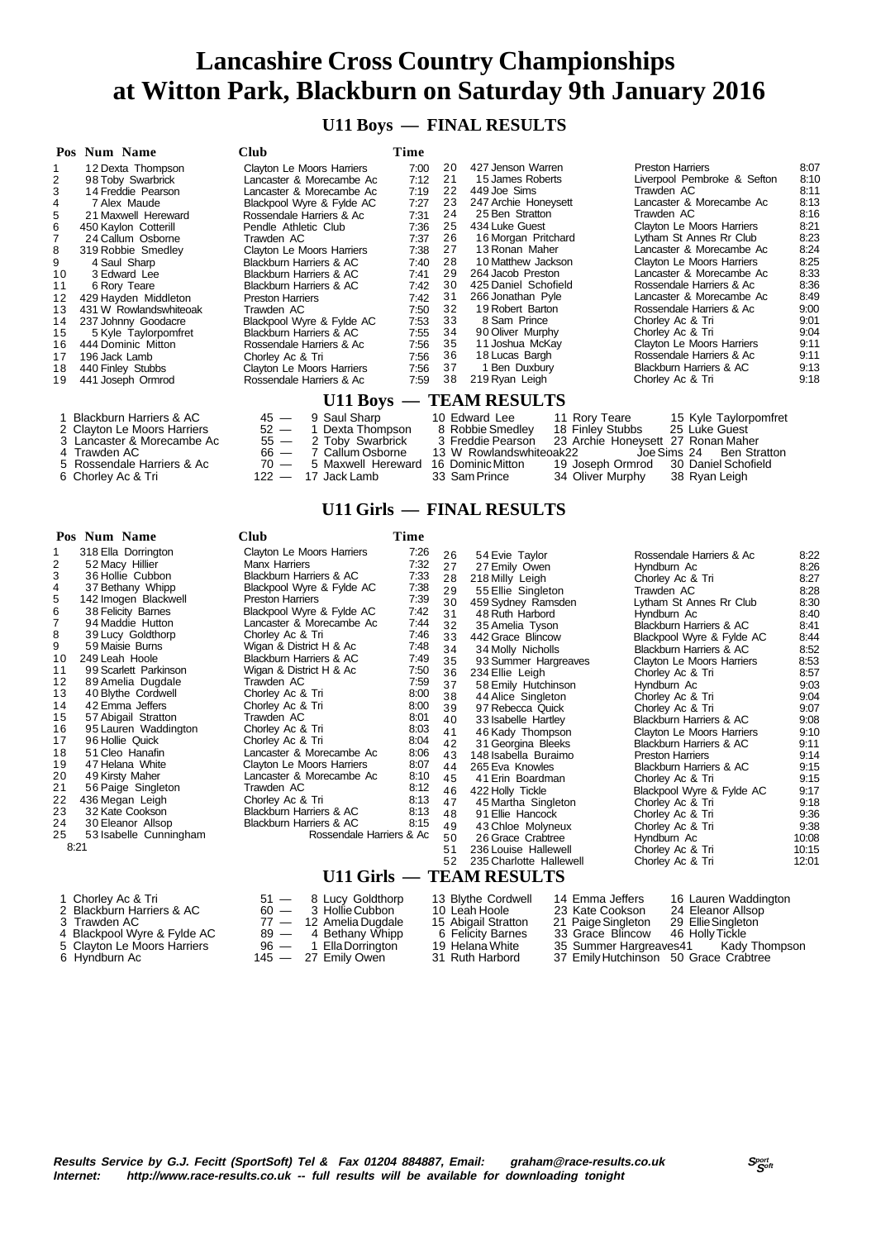#### **U11 Boys — FINAL RESULTS**

|    | Pos Num Name                       | Club                       | Time |    |                                      |                                    |      |  |  |
|----|------------------------------------|----------------------------|------|----|--------------------------------------|------------------------------------|------|--|--|
|    | 12 Dexta Thompson                  | Clayton Le Moors Harriers  | 7:00 | 20 | 427 Jenson Warren                    | <b>Preston Harriers</b>            | 8:07 |  |  |
|    | 98 Toby Swarbrick                  | Lancaster & Morecambe Ac   | 7:12 | 21 | 15 James Roberts                     | Liverpool Pembroke & Sefton        | 8:10 |  |  |
|    | 14 Freddie Pearson                 | Lancaster & Morecambe Ac   | 7:19 | 22 | 449 Joe Sims                         | Trawden AC                         | 8:11 |  |  |
|    | 7 Alex Maude                       | Blackpool Wyre & Fylde AC  | 7:27 | 23 | 247 Archie Honeysett                 | Lancaster & Morecambe Ac           | 8:13 |  |  |
|    | 21 Maxwell Hereward                | Rossendale Harriers & Ac   | 7:31 | 24 | 25 Ben Stratton                      | Trawden AC                         | 8:16 |  |  |
|    | 450 Kaylon Cotterill               | Pendle Athletic Club       | 7:36 | 25 | 434 Luke Guest                       | Clayton Le Moors Harriers          | 8:21 |  |  |
|    | 24 Callum Osborne                  | Trawden AC                 | 7:37 | 26 | 16 Morgan Pritchard                  | Lytham St Annes Rr Club            | 8:23 |  |  |
| 8  | 319 Robbie Smedley                 | Clayton Le Moors Harriers  | 7:38 | 27 | 13 Ronan Maher                       | Lancaster & Morecambe Ac           | 8:24 |  |  |
|    | 4 Saul Sharp                       | Blackburn Harriers & AC    | 7:40 | 28 | 10 Matthew Jackson                   | Clayton Le Moors Harriers          | 8:25 |  |  |
| 10 | 3 Edward Lee                       | Blackburn Harriers & AC    | 7:41 | 29 | 264 Jacob Preston                    | Lancaster & Morecambe Ac           | 8:33 |  |  |
| 11 | 6 Rory Teare                       | Blackburn Harriers & AC    | 7:42 | 30 | 425 Daniel Schofield                 | Rossendale Harriers & Ac           | 8:36 |  |  |
| 12 | 429 Hayden Middleton               | <b>Preston Harriers</b>    | 7:42 | 31 | 266 Jonathan Pyle                    | Lancaster & Morecambe Ac           | 8:49 |  |  |
| 13 | 431 W Rowlandswhiteoak             | Trawden AC                 | 7:50 | 32 | 19 Robert Barton                     | Rossendale Harriers & Ac           | 9:00 |  |  |
| 14 | 237 Johnny Goodacre                | Blackpool Wyre & Fylde AC  | 7:53 | 33 | 8 Sam Prince                         | Chorley Ac & Tri                   | 9:01 |  |  |
| 15 | 5 Kyle Taylorpomfret               | Blackburn Harriers & AC    | 7:55 | 34 | 90 Oliver Murphy                     | Chorley Ac & Tri                   | 9:04 |  |  |
| 16 | 444 Dominic Mitton                 | Rossendale Harriers & Ac   | 7:56 | 35 | 11 Joshua McKay                      | Clayton Le Moors Harriers          | 9:11 |  |  |
| 17 | 196 Jack Lamb                      | Chorley Ac & Tri           | 7:56 | 36 | 18 Lucas Bargh                       | Rossendale Harriers & Ac           | 9:11 |  |  |
| 18 | 440 Finley Stubbs                  | Clayton Le Moors Harriers  | 7:56 | 37 | 1 Ben Duxbury                        | Blackburn Harriers & AC            | 9:13 |  |  |
| 19 | 441 Joseph Ormrod                  | Rossendale Harriers & Ac   | 7:59 | 38 | 219 Ryan Leigh                       | Chorley Ac & Tri                   | 9:18 |  |  |
|    | U11 Boys — TEAM RESULTS            |                            |      |    |                                      |                                    |      |  |  |
|    | <b>Blackburn Harriers &amp; AC</b> | 9 Saul Sharp<br>$45 -$     |      |    | 10 Edward Lee<br>11 Rory Teare       | 15 Kyle Taylorpomfret              |      |  |  |
|    | 2 Clayton Le Moors Harriers        | $52 -$<br>1 Dexta Thompson |      |    | 8 Robbie Smedley<br>18 Finley Stubbs | 25 Luke Guest                      |      |  |  |
|    | 3 Lancaster & Morecambe Ac         | 55 —<br>2 Toby Swarbrick   |      |    | 3 Freddie Pearson                    | 23 Archie Honeysett 27 Ronan Maher |      |  |  |

3 S5 — 2 Toby Swarbrick 3 Freddie Pearson 23 Archie Honeysett 27 Ronan Maher<br>
66 — 7 Callum Osborne 13 W Rowlandswhiteoak 22 Joe Sims 24 Ben Stratton<br>
70 — 5 Maxwell Hereward 16 Dominic Mitton 19 Joseph Ormrod 30 Daniel Sc

| 2 Clayton Le Moors Harriers |
|-----------------------------|
| 3 Lancaster & Morecambe Ac  |
|                             |

- 
- 6 Chorley Ac & Tri 122 17 Jack Lamb 33 Sam Prince 34 Oliver Murphy 38 Ryan Leigh
- 

| 0.0,00.1 20 1110010 1 10111010 |  |
|--------------------------------|--|
| Lancaster & Morecambe Ac       |  |
| Trawdan AC                     |  |

- 
- 
- 
- 
- 4 Trawden AC 66 7 Callum Osborne 13 W Rowlandswhiteoak22 Joe Sims 24 Ben Stratton 66 7 Callum Osborne 13 W Rowlandswhiteoak22 Joe Sims 24 Ben Stratton 5 Rossendale Harriers & Ac 70 5 Maxwell Hereward 16 Dominic Mitto
- 
- 
- 
- 
- 
- 
- 

## **U11 Girls — FINAL RESULTS**

#### **Pos Num Name Club Time** 1 318 Ella Dorrington Clayton Le Moors Harriers 7:26 2 52 Macy Hillier **Manx Harriers** 7:32<br>3 36 Hollie Cubbon Blackburn Harriers & AC 7:33 3 36 Hollie Cubbon Blackburn Harriers & AC 7:33 4 37 Bethany Whipp Blackpool Wyre & Fylde AC 7:38 5 142 Imogen Blackwell Preston Harriers 7:39<br>6 38 Felicity Barnes Blackpool Wyre & Fylde AC 7:42 6 38 Felicity Barnes Blackpool Wyre & Fylde AC 7:42 7 94 Maddie Hutton Lancaster & Morecambe Ac 7:44 39 Lucy Goldthorp Chorley Ac & Tri 7:46<br>59 Maisie Burns Migan & District H & Ac 7:48 9 59 Maisie Burns Wigan & District H & Ac 7:48 10 249 Leah Hoole Blackburn Harriers & AC 7:49 11 99 Scarlett Parkinson Wigan & District H & Ac 7:50 12 89 Amelia Dugdale Trawden AC 7:59 13 40 Blythe Cordwell Chorley Ac & Tri 8:00<br>14 42 Fmma Jeffers Chorley Ac & Tri 8:00 14 42 Emma Jeffers Chorley Ac & Tri 8:00<br>15 57 Abigail Stratton Trawden AC 8:01 15 57 Abigail Stratton Trawden AC 8:01<br>16 95 Lauren Waddington Chorley Ac & Tri 8:03<br>17 96 Hollie Quick Chorley Ac & Tri 8:04 16 95 Lauren Waddington Chorley Ac & Tri 8:03 16 95 Lauren Waddington Chorley Ac & Tri 8:03<br>17 96 Hollie Quick Chorley Ac & Tri 8:04<br>18 51 Cleo Hanafin Lancaster & Morecambe Ac 8:06 18 51 Cleo Hanafin Lancaster & Morecambe Ac 8:06<br>19 47 Helana White Clayton Le Moors Harriers 8:07 19 47 Helana White Clayton Le Moors Harriers 8:07<br>20 49 Kirsty Maher Lancaster & Morecambe Ac 8:10 20 49 Kirsty Maher Lancaster & Morecambe Ac 8:10 21 56 Paige Singleton Trawden AC 8:12<br>22 436 Megan Leigh Chorley Ac & Tri 8:13<br>23 32 Kate Cookson Blackburn Harriers & AC 8:13 22 436 Megan Leigh Chorley Ac & Tri 8:13<br>22 Kate Cookson Blackburn Harriers & AC 8:13 23 32 Kate Cookson Blackburn Harriers & AC 8:13 24 30 Eleanor Allsop Blackburn Harriers & AC<br>25 53 Isabelle Cunningham Blackburn Rossendal Rossendale Harriers & Ac  $8.21$ 26 54 Evie Taylor Rossendale Harriers & Ac 8:22 27 27 Emily Owen Hyndburn Ac 8:26<br>28 218 Milly Leigh Chorley Ac & Tri 8:27 28 218 Milly Leigh Chorley Ac & Tri 8:27 29 55 Ellie Singleton Trawden AC 8:28 30 459 Sydney Ramsden Lytham St Annes Rr Club 8:30<br>31 48 Ruth Harbord Hyndburn Ac 8:40<br>32 35 Amelia Tyson Blackburn Harriers & AC 8:41 31 48 Ruth Harbord Hyndburn Ac 8:40 32 35 Amelia Tyson Blackburn Harriers & AC 8:41 33 442 Grace Blincow Blackpool Wyre & Fylde AC 8:44<br>34 34 Molly Nicholls Blackburn Harriers & AC 8:52 34 34 Molly Nicholls Blackburn Harriers & AC 8:52<br>35 93 Summer Hargreaves Clayton Le Moors Harriers 8:53 35 93 Summer Hargreaves Clayton Le Moors Harriers 8:53<br>36 234 Ellie Leigh Chorley Ac & Tri 8:57 36 234 Ellie Leigh Chorley Ac & Tri 8:57<br>37 58 Emily Hutchinson Hyndburn Ac 9:03 58 Emily Hutchinson Hyndburn Ac 44 Alice Singleton Chorley Ac & Tri 38 44 Alice Singleton Chorley Ac & Tri 9:04 39 97 Rebecca Quick Chorley Ac & Tri 9:07 40 33 Isabelle Hartley Blackburn Harriers & AC 9:08 41 46 Kady Thompson<br>42 31 Georgina Bleeks Blackburn Harriers 8.AC 9:10 Blackburn Harriers & AC 9:11<br>Preston Harriers 9:14 43 148 Isabella Buraimo Preston Harriers 9:14 44 265 Eva Knowles Blackburn Harriers & AC 9:15<br>45 41 Erin Boardman Chorley Ac & Tri 9:15 Chorley Ac & Tri 46 422 Holly Tickle Blackpool Wyre & Fylde AC 9:17<br>47 45 Martha Singleton Chorley Ac & Tri 9:18 47 45 Martha Singleton Chorley Ac & Tri 9:18<br>48 91 Ellie Hancock Chorley Ac & Tri 9:18 48 91 Ellie Hancock Chorley Ac & Tri 9:36<br>49 43 Chloe Molyneux Chorley Ac & Tri 9:38 49 43 Chloe Molyneux Chorley Ac & Tri 9:38 50 26 Grace Crabtree Hyndburn Ac 10:08 236 Louise Hallewell 52 235 Charlotte Hallewell Chorley Ac & Tri 12:01  **U11 Girls — TEAM RESULTS**

| 1 Chorley Ac & Tri          | 51 - 8 Lucy Goldthorp    | 13 Blythe Cordwell  | 16 Lauren Waddington<br>14 Emma Jeffers  |  |
|-----------------------------|--------------------------|---------------------|------------------------------------------|--|
| 2 Blackburn Harriers & AC   | 60 — 3 Hollie Cubbon     | 10 Leah Hoole       | 24 Eleanor Allsop<br>23 Kate Cookson     |  |
| 3 Trawden AC                | $77 - 12$ Amelia Dugdale | 15 Abigail Stratton | 29 Ellie Singleton<br>21 Paige Singleton |  |
| 4 Blackpool Wyre & Fylde AC | 89 — 4 Bethany Whipp     | 6 Felicity Barnes   | 33 Grace Blincow 46 Holly Tickle         |  |
| 5 Clayton Le Moors Harriers | 96 — 1 Ella Dorrington   | 19 Helana White     | 35 Summer Hargreaves41 Kady Thompson     |  |
| 6 Hyndburn Ac               | 145 — 27 Emily Owen      | 31 Ruth Harbord     | 37 Emily Hutchinson 50 Grace Crabtree    |  |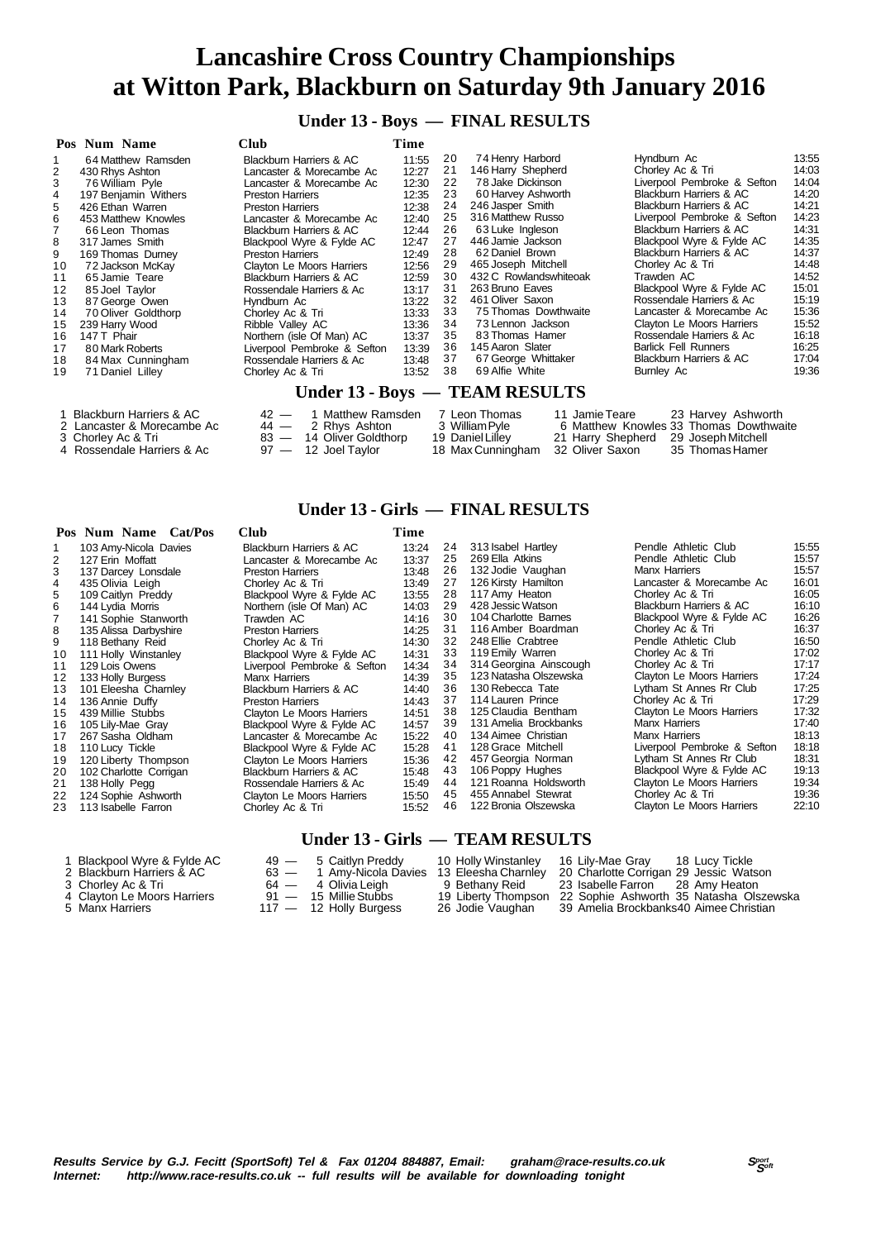**Under 13 - Boys — FINAL RESULTS**

|    | Pos Num Name            | <b>Club</b>                 | Time  |    |                                 |                                    |       |
|----|-------------------------|-----------------------------|-------|----|---------------------------------|------------------------------------|-------|
|    | 64 Matthew Ramsden      | Blackburn Harriers & AC     | 11:55 | 20 | 74 Henry Harbord                | Hyndburn Ac                        | 13:55 |
| 2  | 430 Rhys Ashton         | Lancaster & Morecambe Ac    | 12:27 | 21 | 146 Harry Shepherd              | Chorley Ac & Tri                   | 14:03 |
| 3  | 76 William Pyle         | Lancaster & Morecambe Ac    | 12:30 | 22 | 78 Jake Dickinson               | Liverpool Pembroke & Sefton        | 14:04 |
| 4  | 197 Benjamin Withers    | <b>Preston Harriers</b>     | 12:35 | 23 | 60 Harvey Ashworth              | Blackburn Harriers & AC            | 14:20 |
| 5  | 426 Ethan Warren        | <b>Preston Harriers</b>     | 12:38 | 24 | 246 Jasper Smith                | <b>Blackburn Harriers &amp; AC</b> | 14:21 |
| 6  | 453 Matthew Knowles     | Lancaster & Morecambe Ac    | 12:40 | 25 | 316 Matthew Russo               | Liverpool Pembroke & Sefton        | 14:23 |
|    | 66 Leon Thomas          | Blackburn Harriers & AC     | 12:44 | 26 | 63 Luke Ingleson                | Blackburn Harriers & AC            | 14:31 |
| 8  | 317 James Smith         | Blackpool Wyre & Fylde AC   | 12:47 | 27 | 446 Jamie Jackson               | Blackpool Wyre & Fylde AC          | 14:35 |
| 9  | 169 Thomas Durney       | <b>Preston Harriers</b>     | 12:49 | 28 | 62 Daniel Brown                 | Blackburn Harriers & AC            | 14:37 |
| 10 | 72 Jackson McKay        | Clayton Le Moors Harriers   | 12:56 | 29 | 465 Joseph Mitchell             | Chorley Ac & Tri                   | 14:48 |
| 11 | 65 Jamie Teare          | Blackburn Harriers & AC     | 12:59 | 30 | 432 C Rowlandswhiteoak          | Trawden AC                         | 14:52 |
| 12 | 85 Joel Taylor          | Rossendale Harriers & Ac    | 13:17 | 31 | 263 Bruno Eaves                 | Blackpool Wyre & Fylde AC          | 15:01 |
| 13 | 87 George Owen          | Hyndburn Ac                 | 13:22 | 32 | 461 Oliver Saxon                | Rossendale Harriers & Ac           | 15:19 |
| 14 | 70 Oliver Goldthorp     | Chorley Ac & Tri            | 13:33 | 33 | 75 Thomas Dowthwaite            | Lancaster & Morecambe Ac           | 15:36 |
| 15 | 239 Harry Wood          | Ribble Valley AC            | 13:36 | 34 | 73 Lennon Jackson               | Clayton Le Moors Harriers          | 15:52 |
| 16 | 147 T Phair             | Northern (isle Of Man) AC   | 13:37 | 35 | 83 Thomas Hamer                 | Rossendale Harriers & Ac           | 16:18 |
| 17 | 80 Mark Roberts         | Liverpool Pembroke & Sefton | 13:39 | 36 | 145 Aaron Slater                | <b>Barlick Fell Runners</b>        | 16:25 |
| 18 | 84 Max Cunningham       | Rossendale Harriers & Ac    | 13:48 | 37 | 67 George Whittaker             | Blackburn Harriers & AC            | 17:04 |
| 19 | 71 Daniel Lilley        | Chorley Ac & Tri            | 13:52 | 38 | 69 Alfie White                  | Burnley Ac                         | 19:36 |
|    |                         |                             |       |    | Under 13 - Boys — TEAM RESULTS  |                                    |       |
|    | Blackburn Harriers & AC | 1 Matthew Ramsden<br>$42 -$ |       |    | 7 Leon Thomas<br>11 Jamie Teare | 23 Harvey Ashworth                 |       |

| Blackburn Harriers & AC    | 42 — 1 Matthew Ramsden   | 7 Leon Thomas     | 11 Jamie Teare                       | 23 Harvev Ashworth                     |
|----------------------------|--------------------------|-------------------|--------------------------------------|----------------------------------------|
| 2 Lancaster & Morecambe Ac | $44 - 2$ Rhvs Ashton     | 3  William Pvle.  |                                      | 6 Matthew Knowles 33 Thomas Dowthwaite |
| 3 Chorley Ac & Tri         | 83 - 14 Oliver Goldthorp | 19 Daniel Lillev  | 21 Harry Shepherd 29 Joseph Mitchell |                                        |
| 4 Rossendale Harriers & Ac | $97 - 12$ Joel Taylor    | 18 Max Cunningham | □ 32 Oliver Saxon                    | 35 Thomas Hamer                        |

#### **Under 13 - Girls — FINAL RESULTS**

### **Pos Num Name Cat/Pos Club Time**

| 1 US. | $\overline{\mathbf{S}}$ | vuv                                | , нис |    |                        |                             |       |
|-------|-------------------------|------------------------------------|-------|----|------------------------|-----------------------------|-------|
|       | 103 Amy-Nicola Davies   | Blackburn Harriers & AC            | 13:24 | 24 | 313 Isabel Hartley     | Pendle Athletic Club        | 15:55 |
| 2     | 127 Erin Moffatt        | Lancaster & Morecambe Ac           | 13:37 | 25 | 269 Ella Atkins        | Pendle Athletic Club        | 15:57 |
| 3     | 137 Darcey Lonsdale     | <b>Preston Harriers</b>            | 13:48 | 26 | 132 Jodie Vaughan      | Manx Harriers               | 15:57 |
| 4     | 435 Olivia Leigh        | Chorley Ac & Tri                   | 13:49 | 27 | 126 Kirsty Hamilton    | Lancaster & Morecambe Ac    | 16:01 |
| 5     | 109 Caitlyn Preddy      | Blackpool Wyre & Fylde AC          | 13:55 | 28 | 117 Amy Heaton         | Chorley Ac & Tri            | 16:05 |
| 6     | 144 Lydia Morris        | Northern (isle Of Man) AC          | 14:03 | 29 | 428 Jessic Watson      | Blackburn Harriers & AC     | 16:10 |
|       | 141 Sophie Stanworth    | Trawden AC                         | 14:16 | 30 | 104 Charlotte Barnes   | Blackpool Wyre & Fylde AC   | 16:26 |
| 8     | 135 Alissa Darbyshire   | <b>Preston Harriers</b>            | 14:25 | 31 | 116 Amber Boardman     | Chorley Ac & Tri            | 16:37 |
| 9     | 118 Bethany Reid        | Chorley Ac & Tri                   | 14:30 | 32 | 248 Ellie Crabtree     | Pendle Athletic Club        | 16:50 |
| 10    | 111 Holly Winstanley    | Blackpool Wyre & Fylde AC          | 14:31 | 33 | 119 Emily Warren       | Chorley Ac & Tri            | 17:02 |
| 11    | 129 Lois Owens          | Liverpool Pembroke & Sefton        | 14:34 | 34 | 314 Georgina Ainscough | Chorley Ac & Tri            | 17:17 |
| 12    | 133 Holly Burgess       | Manx Harriers                      | 14:39 | 35 | 123 Natasha Olszewska  | Clayton Le Moors Harriers   | 17:24 |
| 13    | 101 Eleesha Charnley    | Blackburn Harriers & AC            | 14:40 | 36 | 130 Rebecca Tate       | Lytham St Annes Rr Club     | 17:25 |
| 14    | 136 Annie Duffy         | <b>Preston Harriers</b>            | 14:43 | 37 | 114 Lauren Prince      | Chorley Ac & Tri            | 17:29 |
| 15    | 439 Millie Stubbs       | Clayton Le Moors Harriers          | 14:51 | 38 | 125 Claudia Bentham    | Clayton Le Moors Harriers   | 17:32 |
| 16    | 105 Lily-Mae Gray       | Blackpool Wyre & Fylde AC          | 14:57 | 39 | 131 Amelia Brockbanks  | Manx Harriers               | 17:40 |
| 17    | 267 Sasha Oldham        | Lancaster & Morecambe Ac           | 15:22 | 40 | 134 Aimee Christian    | Manx Harriers               | 18:13 |
| 18    | 110 Lucy Tickle         | Blackpool Wyre & Fylde AC          | 15:28 | 41 | 128 Grace Mitchell     | Liverpool Pembroke & Sefton | 18:18 |
| 19    | 120 Liberty Thompson    | Clayton Le Moors Harriers          | 15:36 | 42 | 457 Georgia Norman     | Lytham St Annes Rr Club     | 18:31 |
| 20    | 102 Charlotte Corrigan  | <b>Blackburn Harriers &amp; AC</b> | 15:48 | 43 | 106 Poppy Hughes       | Blackpool Wyre & Fylde AC   | 19:13 |
| 21    | 138 Holly Pegg          | Rossendale Harriers & Ac           | 15:49 | 44 | 121 Roanna Holdsworth  | Clayton Le Moors Harriers   | 19:34 |
| 22    | 124 Sophie Ashworth     | Clayton Le Moors Harriers          | 15:50 | 45 | 455 Annabel Stewrat    | Chorley Ac & Tri            | 19:36 |
| 23    | 113 Isabelle Farron     | Chorley Ac & Tri                   | 15:52 | 46 | 122 Bronia Olszewska   | Clayton Le Moors Harriers   | 22:10 |
|       |                         |                                    |       |    |                        |                             |       |

#### **Under 13 - Girls — TEAM RESULTS**

| Blackpool Wyre & Fylde AC | 49 - 5 Caitlyn Preddy                                                               | 10 Holly Winstanley 16 Lily-Mae Gray |                                      | 18 Lucv Tickle |
|---------------------------|-------------------------------------------------------------------------------------|--------------------------------------|--------------------------------------|----------------|
| Blackburn Harriers & AC   | 63 — 1 Amv-Nicola Davies 13 Eleesha Charnley 20 Charlotte Corrigan 29 Jessic Watson |                                      |                                      |                |
| 3. Chorley Ac & Tri       | $A = 4$ Olivia Laigh                                                                | 9. Rathany Raid                      | 23. Isabelle Farron — 28. Amy Heaton |                |

- 
- -
- 
- 5 Chorley Ac & Tri 64 4 Olivia Leigh 9 Bethany Reid 23 Isabelle Farron 28 Amy Heaton<br>117 15 Millie Stubbs 19 Liberty Thompson 22 Sophie Ashworth 35 Natasha Olszev<br>117 12 Holly Burgess 26 Jodie Vaughan 39 Amelia Brock
- -
- 3 Chorley Ac & Tri 64 4 Olivia Leigh 9 Bethany Reid 23 Isabelle Farron 28 Amy Heaton 4 Clayton Le Moors Harriers 91 15 Millie Stubbs 19 Liberty Thompson 22 Sophie Ashworth 35 Natasha Olszewska
	-

http://www.race-results.co.uk -- full results will be available for downloading tonight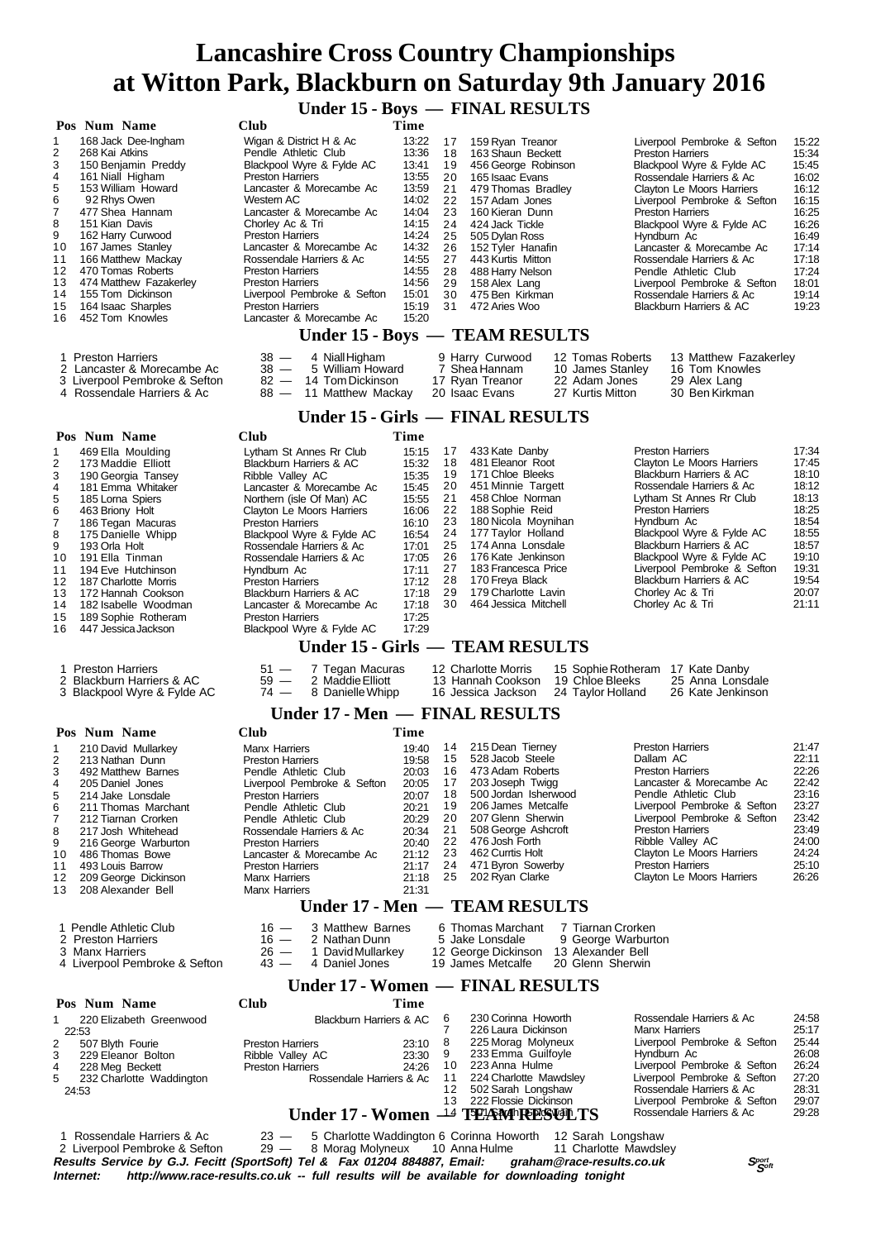**Under 15 - Boys — FINAL RESULTS**

| Pos Num Name                                                                                                                                                                                                                                                                                                                                                                                                                       | <b>Club</b>                                                                                                                                                                                                                                                                                                                                                                                              | <b>Time</b>                                                                                                                         |                                                                                  |                                                                                                                                                                                                                                                                                                      |                                                                                  |                                                                                                                                                                                                                                                                                                                                                                                |                                                                                                                            |
|------------------------------------------------------------------------------------------------------------------------------------------------------------------------------------------------------------------------------------------------------------------------------------------------------------------------------------------------------------------------------------------------------------------------------------|----------------------------------------------------------------------------------------------------------------------------------------------------------------------------------------------------------------------------------------------------------------------------------------------------------------------------------------------------------------------------------------------------------|-------------------------------------------------------------------------------------------------------------------------------------|----------------------------------------------------------------------------------|------------------------------------------------------------------------------------------------------------------------------------------------------------------------------------------------------------------------------------------------------------------------------------------------------|----------------------------------------------------------------------------------|--------------------------------------------------------------------------------------------------------------------------------------------------------------------------------------------------------------------------------------------------------------------------------------------------------------------------------------------------------------------------------|----------------------------------------------------------------------------------------------------------------------------|
| 1<br>168 Jack Dee-Ingham<br>$\overline{\mathbf{c}}$<br>268 Kai Atkins<br>3<br>150 Benjamin Preddy<br>4<br>161 Niall Higham<br>5<br>153 William Howard<br>6<br>92 Rhys Owen<br>7<br>477 Shea Hannam<br>8<br>151 Kian Davis<br>9<br>162 Harry Curwood<br>10<br>167 James Stanley<br>11<br>166 Matthew Mackay                                                                                                                         | Wigan & District H & Ac<br>Pendle Athletic Club<br>Blackpool Wyre & Fylde AC<br><b>Preston Harriers</b><br>Lancaster & Morecambe Ac<br>Western AC<br>Lancaster & Morecambe Ac<br>Chorley Ac & Tri<br><b>Preston Harriers</b><br>Lancaster & Morecambe Ac<br>Rossendale Harriers & Ac                                                                                                                     | 13:22<br>13:36<br>13:41<br>13:55<br>13:59<br>14:02<br>14:04<br>14:15<br>14:24<br>14:32<br>14:55                                     | 17<br>18<br>19<br>20<br>21<br>22<br>23<br>24<br>25<br>26<br>27                   | 159 Ryan Treanor<br>163 Shaun Beckett<br>456 George Robinson<br>165 Isaac Evans<br>479 Thomas Bradley<br>157 Adam Jones<br>160 Kieran Dunn<br>424 Jack Tickle<br>505 Dylan Ross<br>152 Tyler Hanafin<br>443 Kurtis Mitton                                                                            |                                                                                  | Liverpool Pembroke & Sefton<br><b>Preston Harriers</b><br>Blackpool Wyre & Fylde AC<br>Rossendale Harriers & Ac<br>Clayton Le Moors Harriers<br>Liverpool Pembroke & Sefton<br><b>Preston Harriers</b><br>Blackpool Wyre & Fylde AC<br>Hyndburn Ac<br>Lancaster & Morecambe Ac<br>Rossendale Harriers & Ac                                                                     | 15:22<br>15:34<br>15:45<br>16:02<br>16:12<br>16:15<br>16:25<br>16:26<br>16:49<br>17:14<br>17:18                            |
| 470 Tomas Roberts<br>12<br>13<br>474 Matthew Fazakerley<br>14<br>155 Tom Dickinson                                                                                                                                                                                                                                                                                                                                                 | <b>Preston Harriers</b><br><b>Preston Harriers</b><br>Liverpool Pembroke & Sefton                                                                                                                                                                                                                                                                                                                        | 14:55<br>14:56<br>15:01                                                                                                             | 28<br>29<br>30                                                                   | 488 Harry Nelson<br>158 Alex Lang<br>475 Ben Kirkman                                                                                                                                                                                                                                                 |                                                                                  | Pendle Athletic Club<br>Liverpool Pembroke & Sefton<br>Rossendale Harriers & Ac                                                                                                                                                                                                                                                                                                | 17:24<br>18:01<br>19:14                                                                                                    |
| 164 Isaac Sharples<br>15<br>452 Tom Knowles<br>16                                                                                                                                                                                                                                                                                                                                                                                  | <b>Preston Harriers</b><br>Lancaster & Morecambe Ac                                                                                                                                                                                                                                                                                                                                                      | 15:19<br>15:20                                                                                                                      | 31                                                                               | 472 Aries Woo                                                                                                                                                                                                                                                                                        |                                                                                  | <b>Blackburn Harriers &amp; AC</b>                                                                                                                                                                                                                                                                                                                                             | 19:23                                                                                                                      |
|                                                                                                                                                                                                                                                                                                                                                                                                                                    | Under 15 - Boys - TEAM RESULTS                                                                                                                                                                                                                                                                                                                                                                           |                                                                                                                                     |                                                                                  |                                                                                                                                                                                                                                                                                                      |                                                                                  |                                                                                                                                                                                                                                                                                                                                                                                |                                                                                                                            |
| 1 Preston Harriers<br>2 Lancaster & Morecambe Ac<br>3 Liverpool Pembroke & Sefton<br>4 Rossendale Harriers & Ac                                                                                                                                                                                                                                                                                                                    | $38 -$<br>4 Niall Higham<br>$38 -$<br>5 William Howard<br>$82 -$<br>14 Tom Dickinson<br>$88 -$<br>11 Matthew Mackay                                                                                                                                                                                                                                                                                      |                                                                                                                                     |                                                                                  | 9 Harry Curwood<br>7 Shea Hannam<br>17 Ryan Treanor<br>20 Isaac Evans                                                                                                                                                                                                                                | 12 Tomas Roberts<br>10 James Stanley<br>22 Adam Jones<br>27 Kurtis Mitton        | 13 Matthew Fazakerley<br>16 Tom Knowles<br>29 Alex Lang<br>30 Ben Kirkman                                                                                                                                                                                                                                                                                                      |                                                                                                                            |
|                                                                                                                                                                                                                                                                                                                                                                                                                                    | <b>Under 15 - Girls — FINAL RESULTS</b>                                                                                                                                                                                                                                                                                                                                                                  |                                                                                                                                     |                                                                                  |                                                                                                                                                                                                                                                                                                      |                                                                                  |                                                                                                                                                                                                                                                                                                                                                                                |                                                                                                                            |
| Pos Num Name                                                                                                                                                                                                                                                                                                                                                                                                                       | <b>Club</b>                                                                                                                                                                                                                                                                                                                                                                                              | Time                                                                                                                                |                                                                                  |                                                                                                                                                                                                                                                                                                      |                                                                                  |                                                                                                                                                                                                                                                                                                                                                                                |                                                                                                                            |
| 469 Ella Moulding<br>1<br>$\overline{\mathbf{c}}$<br>173 Maddie Elliott<br>3<br>190 Georgia Tansey<br>4<br>181 Emma Whitaker<br>5<br>185 Lorna Spiers<br>6<br>463 Briony Holt<br>7<br>186 Tegan Macuras<br>8<br>175 Danielle Whipp<br>9<br>193 Orla Holt<br>191 Ella Tinman<br>10<br>11<br>194 Eve Hutchinson<br>12<br>187 Charlotte Morris<br>13<br>172 Hannah Cookson<br>14<br>182 Isabelle Woodman<br>15<br>189 Sophie Rotheram | Lytham St Annes Rr Club<br>Blackburn Harriers & AC<br>Ribble Valley AC<br>Lancaster & Morecambe Ac<br>Northern (isle Of Man) AC<br>Clayton Le Moors Harriers<br><b>Preston Harriers</b><br>Blackpool Wyre & Fylde AC<br>Rossendale Harriers & Ac<br>Rossendale Harriers & Ac<br>Hyndburn Ac<br><b>Preston Harriers</b><br>Blackburn Harriers & AC<br>Lancaster & Morecambe Ac<br><b>Preston Harriers</b> | 15:15<br>15:32<br>15:35<br>15:45<br>15:55<br>16:06<br>16:10<br>16:54<br>17:01<br>17:05<br>17:11<br>17:12<br>17:18<br>17:18<br>17:25 | 17<br>18<br>19<br>20<br>21<br>22<br>23<br>24<br>25<br>26<br>27<br>28<br>29<br>30 | 433 Kate Danby<br>481 Eleanor Root<br>171 Chloe Bleeks<br>451 Minnie Targett<br>458 Chloe Norman<br>188 Sophie Reid<br>180 Nicola Moynihan<br>177 Taylor Holland<br>174 Anna Lonsdale<br>176 Kate Jenkinson<br>183 Francesca Price<br>170 Freya Black<br>179 Charlotte Lavin<br>464 Jessica Mitchell |                                                                                  | <b>Preston Harriers</b><br><b>Clayton Le Moors Harriers</b><br>Blackburn Harriers & AC<br>Rossendale Harriers & Ac<br>Lytham St Annes Rr Club<br><b>Preston Harriers</b><br>Hyndburn Ac<br>Blackpool Wyre & Fylde AC<br>Blackburn Harriers & AC<br>Blackpool Wyre & Fylde AC<br>Liverpool Pembroke & Sefton<br>Blackburn Harriers & AC<br>Chorley Ac & Tri<br>Chorley Ac & Tri | 17:34<br>17:45<br>18:10<br>18:12<br>18:13<br>18:25<br>18:54<br>18:55<br>18:57<br>19:10<br>19:31<br>19:54<br>20:07<br>21:11 |
| 16<br>447 Jessica Jackson                                                                                                                                                                                                                                                                                                                                                                                                          | Blackpool Wyre & Fylde AC                                                                                                                                                                                                                                                                                                                                                                                | 17:29                                                                                                                               |                                                                                  |                                                                                                                                                                                                                                                                                                      |                                                                                  |                                                                                                                                                                                                                                                                                                                                                                                |                                                                                                                            |
|                                                                                                                                                                                                                                                                                                                                                                                                                                    | Under 15 - Girls — TEAM RESULTS                                                                                                                                                                                                                                                                                                                                                                          |                                                                                                                                     |                                                                                  |                                                                                                                                                                                                                                                                                                      |                                                                                  |                                                                                                                                                                                                                                                                                                                                                                                |                                                                                                                            |
| 1 Preston Harriers<br>2 Blackburn Harriers & AC<br>3 Blackpool Wyre & Fylde AC                                                                                                                                                                                                                                                                                                                                                     | $51 -$<br>7 Tegan Macuras<br>$59 -$<br>2 Maddie Elliott<br>$74 -$<br>8 Danielle Whipp                                                                                                                                                                                                                                                                                                                    |                                                                                                                                     |                                                                                  | 12 Charlotte Morris<br>13 Hannah Cookson<br>16 Jessica Jackson                                                                                                                                                                                                                                       | 19 Chloe Bleeks<br>24 Taylor Holland                                             | 15 Sophie Rotheram 17 Kate Danby<br>25 Anna Lonsdale<br>26 Kate Jenkinson                                                                                                                                                                                                                                                                                                      |                                                                                                                            |
|                                                                                                                                                                                                                                                                                                                                                                                                                                    | Under 17 - Men - FINAL RESULTS                                                                                                                                                                                                                                                                                                                                                                           |                                                                                                                                     |                                                                                  |                                                                                                                                                                                                                                                                                                      |                                                                                  |                                                                                                                                                                                                                                                                                                                                                                                |                                                                                                                            |
| Pos Num Name<br>210 David Mullarkey<br>1<br>2<br>213 Nathan Dunn<br>3<br>492 Matthew Barnes<br>4<br>205 Daniel Jones<br>5<br>214 Jake Lonsdale<br>6<br>211 Thomas Marchant<br>7<br>212 Tiarnan Crorken                                                                                                                                                                                                                             | <b>Club</b><br>Manx Harriers<br><b>Preston Harriers</b><br>Pendle Athletic Club<br>Liverpool Pembroke & Sefton<br><b>Preston Harriers</b><br>Pendle Athletic Club<br>Pendle Athletic Club                                                                                                                                                                                                                | Time<br>19:40<br>19:58<br>20:03<br>20:05<br>20:07<br>20:21<br>20:29                                                                 | 14<br>15<br>16<br>17<br>18<br>19<br>20                                           | 215 Dean Tierney<br>528 Jacob Steele<br>473 Adam Roberts<br>203 Joseph Twigg<br>500 Jordan Isherwood<br>206 James Metcalfe<br>207 Glenn Sherwin                                                                                                                                                      |                                                                                  | <b>Preston Harriers</b><br>Dallam AC<br><b>Preston Harriers</b><br>Lancaster & Morecambe Ac<br>Pendle Athletic Club<br>Liverpool Pembroke & Sefton<br>Liverpool Pembroke & Sefton                                                                                                                                                                                              | 21:47<br>22:11<br>22:26<br>22:42<br>23:16<br>23:27<br>23:42                                                                |
| 8<br>217 Josh Whitehead<br>9<br>216 George Warburton<br>486 Thomas Bowe<br>10<br>493 Louis Barrow<br>11<br>209 George Dickinson<br>12<br>208 Alexander Bell<br>13                                                                                                                                                                                                                                                                  | Rossendale Harriers & Ac<br><b>Preston Harriers</b><br>Lancaster & Morecambe Ac<br><b>Preston Harriers</b><br><b>Manx Harriers</b><br><b>Manx Harriers</b><br>Under 17 - Men — TEAM RESULTS                                                                                                                                                                                                              | 20:34<br>20:40<br>21:12<br>21:17<br>21:18<br>21:31                                                                                  | 21<br>22<br>23<br>24<br>25                                                       | 508 George Ashcroft<br>476 Josh Forth<br>462 Currtis Holt<br>471 Byron Sowerby<br>202 Ryan Clarke                                                                                                                                                                                                    |                                                                                  | <b>Preston Harriers</b><br>Ribble Valley AC<br>Clayton Le Moors Harriers<br><b>Preston Harriers</b><br>Clayton Le Moors Harriers                                                                                                                                                                                                                                               | 23:49<br>24:00<br>24:24<br>25:10<br>26:26                                                                                  |
|                                                                                                                                                                                                                                                                                                                                                                                                                                    |                                                                                                                                                                                                                                                                                                                                                                                                          |                                                                                                                                     |                                                                                  |                                                                                                                                                                                                                                                                                                      |                                                                                  |                                                                                                                                                                                                                                                                                                                                                                                |                                                                                                                            |
| 1 Pendle Athletic Club<br>2 Preston Harriers<br>3 Manx Harriers<br>4 Liverpool Pembroke & Sefton                                                                                                                                                                                                                                                                                                                                   | $16 -$<br>3 Matthew Barnes<br>$16 -$<br>2 Nathan Dunn<br>$26 -$<br>1 David Mullarkey<br>$43 -$<br>4 Daniel Jones                                                                                                                                                                                                                                                                                         |                                                                                                                                     |                                                                                  | 6 Thomas Marchant<br>5 Jake Lonsdale<br>12 George Dickinson<br>19 James Metcalfe                                                                                                                                                                                                                     | 7 Tiarnan Crorken<br>9 George Warburton<br>13 Alexander Bell<br>20 Glenn Sherwin |                                                                                                                                                                                                                                                                                                                                                                                |                                                                                                                            |
|                                                                                                                                                                                                                                                                                                                                                                                                                                    | Under 17 - Women — FINAL RESULTS                                                                                                                                                                                                                                                                                                                                                                         |                                                                                                                                     |                                                                                  |                                                                                                                                                                                                                                                                                                      |                                                                                  |                                                                                                                                                                                                                                                                                                                                                                                |                                                                                                                            |
| Pos Num Name<br>220 Elizabeth Greenwood<br>1<br>22:53<br>2<br>507 Blyth Fourie<br>3<br>229 Eleanor Bolton<br>4<br>228 Meg Beckett<br>5<br>232 Charlotte Waddington<br>24:53                                                                                                                                                                                                                                                        | Club<br><b>Blackburn Harriers &amp; AC</b><br><b>Preston Harriers</b><br>Ribble Valley AC<br><b>Preston Harriers</b><br>Rossendale Harriers & Ac<br>Under 17 - Women <sup>14</sup> TEAM RESULTS                                                                                                                                                                                                          | Time<br>23:10<br>23:30<br>24:26                                                                                                     | 6<br>7<br>8<br>9<br>10<br>11<br>12<br>13                                         | 230 Corinna Howorth<br>226 Laura Dickinson<br>225 Morag Molyneux<br>233 Emma Guilfoyle<br>223 Anna Hulme<br>224 Charlotte Mawdsley<br>502 Sarah Longshaw<br>222 Flossie Dickinson                                                                                                                    |                                                                                  | Rossendale Harriers & Ac<br><b>Manx Harriers</b><br>Liverpool Pembroke & Sefton<br>Hyndburn Ac<br>Liverpool Pembroke & Sefton<br>Liverpool Pembroke & Sefton<br>Rossendale Harriers & Ac<br>Liverpool Pembroke & Sefton<br>Rossendale Harriers & Ac                                                                                                                            | 24:58<br>25:17<br>25:44<br>26:08<br>26:24<br>27:20<br>28:31<br>29:07<br>29:28                                              |
| 1 Rossendale Harriers & Ac                                                                                                                                                                                                                                                                                                                                                                                                         | 23 - 5 Charlotte Waddington 6 Corinna Howorth 12 Sarah Longshaw                                                                                                                                                                                                                                                                                                                                          |                                                                                                                                     |                                                                                  |                                                                                                                                                                                                                                                                                                      |                                                                                  |                                                                                                                                                                                                                                                                                                                                                                                |                                                                                                                            |

**Results Service by G.J. Fecitt (SportSoft) Tel & Fax 01204 884887, Email: graham@race-results.co.uk S<sup>port</sup> S<sup>port</sup><br>Internet: http://www.race-results.co.uk -- full results will be available for downloading tonight** http://www.race-results.co.uk -- full results will be available for downloading tonight 1 Rossendale Harriers & Ac 23 — 5 Charlotte Waddington 6 Corinna Howorth 12 Sarah Longshaw 2 Liverpool Pembroke & Sefton 29 — 8 Morag Molyneux 10 Anna Hulme 11 Charlotte Mawdsley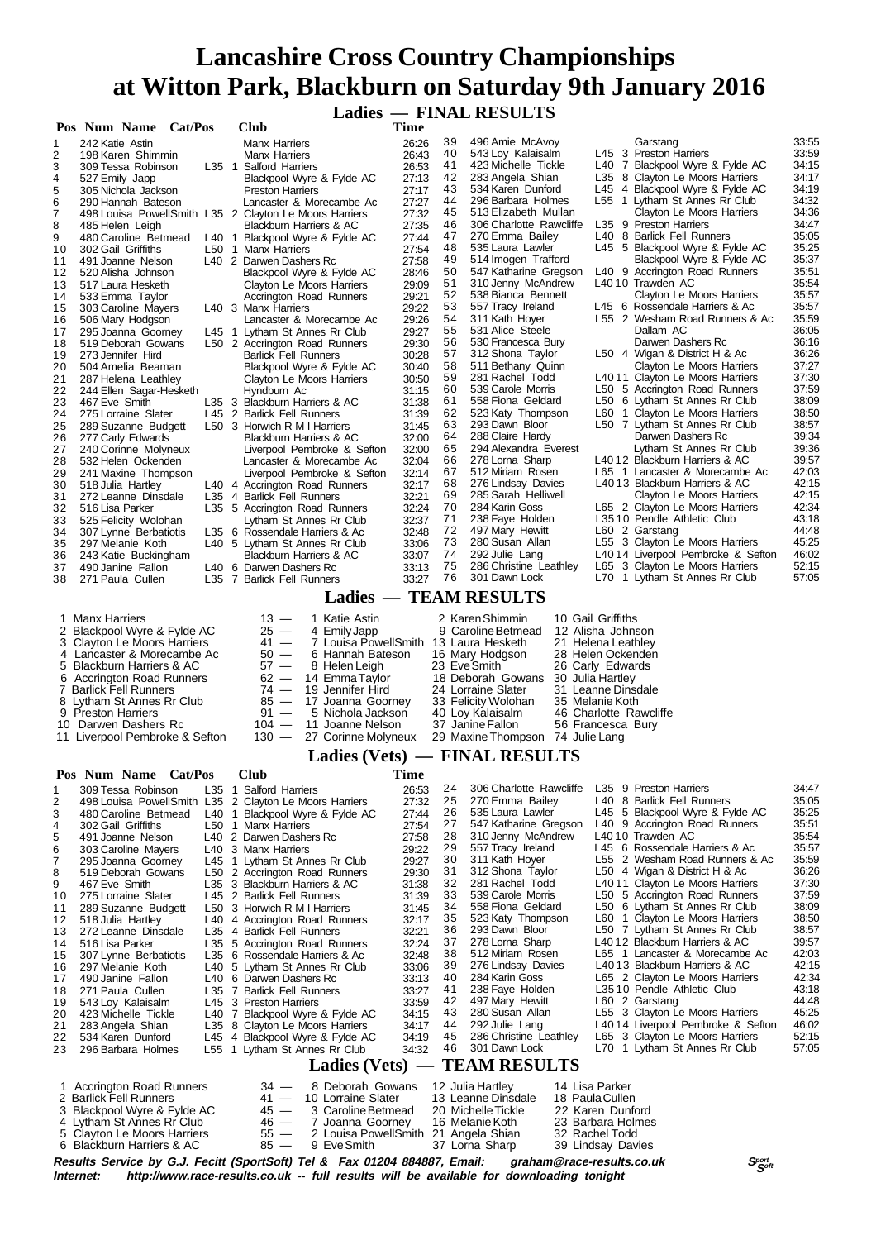**Ladies — FINAL RESULTS**

|                                                                                                                               | Pos Num Name Cat/Pos                                                                                                                                                                                                                                                                                                                                                                                                                                   |                                          |         | Club                                                                                                                                                                                                                                                                                                                                                                                                                                                                                                                                                                                                                                    | Time                                                                                                                                                                                               |                                                                                                                            |                                                                                                                                                                                                                                                                                                                                                                                                                                       |                                                                                                                                                                          |                                                                                                                                                                                                                                                                                                                                                                                                                                                                                                                                                                                                                                                                                            |                                                                                                                                                                                           |
|-------------------------------------------------------------------------------------------------------------------------------|--------------------------------------------------------------------------------------------------------------------------------------------------------------------------------------------------------------------------------------------------------------------------------------------------------------------------------------------------------------------------------------------------------------------------------------------------------|------------------------------------------|---------|-----------------------------------------------------------------------------------------------------------------------------------------------------------------------------------------------------------------------------------------------------------------------------------------------------------------------------------------------------------------------------------------------------------------------------------------------------------------------------------------------------------------------------------------------------------------------------------------------------------------------------------------|----------------------------------------------------------------------------------------------------------------------------------------------------------------------------------------------------|----------------------------------------------------------------------------------------------------------------------------|---------------------------------------------------------------------------------------------------------------------------------------------------------------------------------------------------------------------------------------------------------------------------------------------------------------------------------------------------------------------------------------------------------------------------------------|--------------------------------------------------------------------------------------------------------------------------------------------------------------------------|--------------------------------------------------------------------------------------------------------------------------------------------------------------------------------------------------------------------------------------------------------------------------------------------------------------------------------------------------------------------------------------------------------------------------------------------------------------------------------------------------------------------------------------------------------------------------------------------------------------------------------------------------------------------------------------------|-------------------------------------------------------------------------------------------------------------------------------------------------------------------------------------------|
| 1                                                                                                                             | 242 Katie Astin                                                                                                                                                                                                                                                                                                                                                                                                                                        |                                          |         | <b>Manx Harriers</b>                                                                                                                                                                                                                                                                                                                                                                                                                                                                                                                                                                                                                    | 26:26                                                                                                                                                                                              | 39                                                                                                                         | 496 Amie McAvoy                                                                                                                                                                                                                                                                                                                                                                                                                       |                                                                                                                                                                          | Garstang                                                                                                                                                                                                                                                                                                                                                                                                                                                                                                                                                                                                                                                                                   | 33:55                                                                                                                                                                                     |
| 2<br>3                                                                                                                        | 198 Karen Shimmin                                                                                                                                                                                                                                                                                                                                                                                                                                      |                                          |         | <b>Manx Harriers</b><br>L35 1 Salford Harriers                                                                                                                                                                                                                                                                                                                                                                                                                                                                                                                                                                                          | 26:43<br>26:53                                                                                                                                                                                     | 40<br>41                                                                                                                   | 543 Loy Kalaisalm<br>423 Michelle Tickle                                                                                                                                                                                                                                                                                                                                                                                              |                                                                                                                                                                          | L45 3 Preston Harriers<br>L40 7 Blackpool Wyre & Fylde AC                                                                                                                                                                                                                                                                                                                                                                                                                                                                                                                                                                                                                                  | 33:59<br>34:15                                                                                                                                                                            |
| 4                                                                                                                             | 309 Tessa Robinson<br>527 Emily Japp                                                                                                                                                                                                                                                                                                                                                                                                                   |                                          |         | Blackpool Wyre & Fylde AC                                                                                                                                                                                                                                                                                                                                                                                                                                                                                                                                                                                                               | 27:13                                                                                                                                                                                              | 42                                                                                                                         | 283 Angela Shian                                                                                                                                                                                                                                                                                                                                                                                                                      |                                                                                                                                                                          | L35 8 Clayton Le Moors Harriers                                                                                                                                                                                                                                                                                                                                                                                                                                                                                                                                                                                                                                                            | 34:17                                                                                                                                                                                     |
| 5                                                                                                                             | 305 Nichola Jackson                                                                                                                                                                                                                                                                                                                                                                                                                                    |                                          |         | <b>Preston Harriers</b>                                                                                                                                                                                                                                                                                                                                                                                                                                                                                                                                                                                                                 | 27:17                                                                                                                                                                                              | 43                                                                                                                         | 534 Karen Dunford                                                                                                                                                                                                                                                                                                                                                                                                                     |                                                                                                                                                                          | L45 4 Blackpool Wyre & Fylde AC                                                                                                                                                                                                                                                                                                                                                                                                                                                                                                                                                                                                                                                            | 34:19                                                                                                                                                                                     |
| 6                                                                                                                             | 290 Hannah Bateson                                                                                                                                                                                                                                                                                                                                                                                                                                     |                                          |         | Lancaster & Morecambe Ac<br>498 Louisa PowellSmith L35 2 Clayton Le Moors Harriers                                                                                                                                                                                                                                                                                                                                                                                                                                                                                                                                                      | 27:27                                                                                                                                                                                              | 44<br>45                                                                                                                   | 296 Barbara Holmes<br>513 Elizabeth Mullan                                                                                                                                                                                                                                                                                                                                                                                            |                                                                                                                                                                          | L55 1 Lytham St Annes Rr Club<br>Clayton Le Moors Harriers                                                                                                                                                                                                                                                                                                                                                                                                                                                                                                                                                                                                                                 | 34:32<br>34:36                                                                                                                                                                            |
| 7<br>8                                                                                                                        | 485 Helen Leigh                                                                                                                                                                                                                                                                                                                                                                                                                                        |                                          |         | Blackburn Harriers & AC                                                                                                                                                                                                                                                                                                                                                                                                                                                                                                                                                                                                                 | 27:32<br>27:35                                                                                                                                                                                     | 46                                                                                                                         | 306 Charlotte Rawcliffe                                                                                                                                                                                                                                                                                                                                                                                                               |                                                                                                                                                                          | L35 9 Preston Harriers                                                                                                                                                                                                                                                                                                                                                                                                                                                                                                                                                                                                                                                                     | 34:47                                                                                                                                                                                     |
| 9                                                                                                                             | 480 Caroline Betmead                                                                                                                                                                                                                                                                                                                                                                                                                                   |                                          |         | L40 1 Blackpool Wyre & Fylde AC                                                                                                                                                                                                                                                                                                                                                                                                                                                                                                                                                                                                         | 27:44                                                                                                                                                                                              | 47                                                                                                                         | 270 Emma Bailey                                                                                                                                                                                                                                                                                                                                                                                                                       |                                                                                                                                                                          | L40 8 Barlick Fell Runners                                                                                                                                                                                                                                                                                                                                                                                                                                                                                                                                                                                                                                                                 | 35:05                                                                                                                                                                                     |
| 10                                                                                                                            | 302 Gail Griffiths                                                                                                                                                                                                                                                                                                                                                                                                                                     |                                          |         | L50 1 Manx Harriers                                                                                                                                                                                                                                                                                                                                                                                                                                                                                                                                                                                                                     | 27:54                                                                                                                                                                                              | 48<br>49                                                                                                                   | 535 Laura Lawler<br>514 Imogen Trafford                                                                                                                                                                                                                                                                                                                                                                                               |                                                                                                                                                                          | L45 5 Blackpool Wyre & Fylde AC<br>Blackpool Wyre & Fylde AC                                                                                                                                                                                                                                                                                                                                                                                                                                                                                                                                                                                                                               | 35:25<br>35:37                                                                                                                                                                            |
| 11<br>12                                                                                                                      | 491 Joanne Nelson<br>520 Alisha Johnson                                                                                                                                                                                                                                                                                                                                                                                                                |                                          |         | L40 2 Darwen Dashers Rc<br>Blackpool Wyre & Fylde AC                                                                                                                                                                                                                                                                                                                                                                                                                                                                                                                                                                                    | 27:58<br>28:46                                                                                                                                                                                     | 50                                                                                                                         | 547 Katharine Gregson                                                                                                                                                                                                                                                                                                                                                                                                                 |                                                                                                                                                                          | L40 9 Accrington Road Runners                                                                                                                                                                                                                                                                                                                                                                                                                                                                                                                                                                                                                                                              | 35:51                                                                                                                                                                                     |
| 13                                                                                                                            | 517 Laura Hesketh                                                                                                                                                                                                                                                                                                                                                                                                                                      |                                          |         | Clayton Le Moors Harriers                                                                                                                                                                                                                                                                                                                                                                                                                                                                                                                                                                                                               | 29:09                                                                                                                                                                                              | 51                                                                                                                         | 310 Jenny McAndrew                                                                                                                                                                                                                                                                                                                                                                                                                    |                                                                                                                                                                          | L4010 Trawden AC                                                                                                                                                                                                                                                                                                                                                                                                                                                                                                                                                                                                                                                                           | 35:54                                                                                                                                                                                     |
| 14                                                                                                                            | 533 Emma Taylor                                                                                                                                                                                                                                                                                                                                                                                                                                        |                                          |         | Accrington Road Runners<br>L40 3 Manx Harriers                                                                                                                                                                                                                                                                                                                                                                                                                                                                                                                                                                                          | 29:21                                                                                                                                                                                              | 52<br>53                                                                                                                   | 538 Bianca Bennett<br>557 Tracy Ireland                                                                                                                                                                                                                                                                                                                                                                                               |                                                                                                                                                                          | Clayton Le Moors Harriers<br>L45 6 Rossendale Harriers & Ac                                                                                                                                                                                                                                                                                                                                                                                                                                                                                                                                                                                                                                | 35:57<br>35:57                                                                                                                                                                            |
| 15<br>16                                                                                                                      | 303 Caroline Mayers<br>506 Mary Hodgson                                                                                                                                                                                                                                                                                                                                                                                                                |                                          |         | Lancaster & Morecambe Ac                                                                                                                                                                                                                                                                                                                                                                                                                                                                                                                                                                                                                | 29:22<br>29:26                                                                                                                                                                                     | 54                                                                                                                         | 311 Kath Hoyer                                                                                                                                                                                                                                                                                                                                                                                                                        |                                                                                                                                                                          | L55 2 Wesham Road Runners & Ac                                                                                                                                                                                                                                                                                                                                                                                                                                                                                                                                                                                                                                                             | 35:59                                                                                                                                                                                     |
| 17                                                                                                                            | 295 Joanna Goorney                                                                                                                                                                                                                                                                                                                                                                                                                                     |                                          |         | L45 1 Lytham St Annes Rr Club                                                                                                                                                                                                                                                                                                                                                                                                                                                                                                                                                                                                           | 29:27                                                                                                                                                                                              | 55                                                                                                                         | 531 Alice Steele                                                                                                                                                                                                                                                                                                                                                                                                                      |                                                                                                                                                                          | Dallam AC                                                                                                                                                                                                                                                                                                                                                                                                                                                                                                                                                                                                                                                                                  | 36:05                                                                                                                                                                                     |
| 18                                                                                                                            | 519 Deborah Gowans                                                                                                                                                                                                                                                                                                                                                                                                                                     |                                          |         | L50 2 Accrington Road Runners                                                                                                                                                                                                                                                                                                                                                                                                                                                                                                                                                                                                           | 29:30                                                                                                                                                                                              | 56<br>57                                                                                                                   | 530 Francesca Bury<br>312 Shona Taylor                                                                                                                                                                                                                                                                                                                                                                                                |                                                                                                                                                                          | Darwen Dashers Rc<br>L50 4 Wigan & District H & Ac                                                                                                                                                                                                                                                                                                                                                                                                                                                                                                                                                                                                                                         | 36:16<br>36:26                                                                                                                                                                            |
| 19<br>20                                                                                                                      | 273 Jennifer Hird<br>504 Amelia Beaman                                                                                                                                                                                                                                                                                                                                                                                                                 |                                          |         | <b>Barlick Fell Runners</b><br>Blackpool Wyre & Fylde AC                                                                                                                                                                                                                                                                                                                                                                                                                                                                                                                                                                                | 30:28<br>30:40                                                                                                                                                                                     | 58                                                                                                                         | 511 Bethany Quinn                                                                                                                                                                                                                                                                                                                                                                                                                     |                                                                                                                                                                          | Clayton Le Moors Harriers                                                                                                                                                                                                                                                                                                                                                                                                                                                                                                                                                                                                                                                                  | 37:27                                                                                                                                                                                     |
| 21                                                                                                                            | 287 Helena Leathley                                                                                                                                                                                                                                                                                                                                                                                                                                    |                                          |         | Clayton Le Moors Harriers                                                                                                                                                                                                                                                                                                                                                                                                                                                                                                                                                                                                               | 30:50                                                                                                                                                                                              | 59                                                                                                                         | 281 Rachel Todd                                                                                                                                                                                                                                                                                                                                                                                                                       |                                                                                                                                                                          | L4011 Clayton Le Moors Harriers                                                                                                                                                                                                                                                                                                                                                                                                                                                                                                                                                                                                                                                            | 37:30                                                                                                                                                                                     |
| 22                                                                                                                            | 244 Ellen Sagar-Hesketh                                                                                                                                                                                                                                                                                                                                                                                                                                |                                          |         | Hyndburn Ac                                                                                                                                                                                                                                                                                                                                                                                                                                                                                                                                                                                                                             | 31:15                                                                                                                                                                                              | 60<br>61                                                                                                                   | 539 Carole Morris<br>558 Fiona Geldard                                                                                                                                                                                                                                                                                                                                                                                                |                                                                                                                                                                          | L50 5 Accrington Road Runners<br>L50 6 Lytham St Annes Rr Club                                                                                                                                                                                                                                                                                                                                                                                                                                                                                                                                                                                                                             | 37:59<br>38:09                                                                                                                                                                            |
| 23<br>24                                                                                                                      | 467 Eve Smith<br>275 Lorraine Slater                                                                                                                                                                                                                                                                                                                                                                                                                   |                                          |         | L35 3 Blackburn Harriers & AC<br>L45 2 Barlick Fell Runners                                                                                                                                                                                                                                                                                                                                                                                                                                                                                                                                                                             | 31:38<br>31:39                                                                                                                                                                                     | 62                                                                                                                         | 523 Katy Thompson                                                                                                                                                                                                                                                                                                                                                                                                                     |                                                                                                                                                                          | L60 1 Clayton Le Moors Harriers                                                                                                                                                                                                                                                                                                                                                                                                                                                                                                                                                                                                                                                            | 38:50                                                                                                                                                                                     |
| 25                                                                                                                            | 289 Suzanne Budgett                                                                                                                                                                                                                                                                                                                                                                                                                                    |                                          |         | L50 3 Horwich R M I Harriers                                                                                                                                                                                                                                                                                                                                                                                                                                                                                                                                                                                                            | 31:45                                                                                                                                                                                              | 63                                                                                                                         | 293 Dawn Bloor                                                                                                                                                                                                                                                                                                                                                                                                                        |                                                                                                                                                                          | L50 7 Lytham St Annes Rr Club                                                                                                                                                                                                                                                                                                                                                                                                                                                                                                                                                                                                                                                              | 38:57                                                                                                                                                                                     |
| 26                                                                                                                            | 277 Carly Edwards                                                                                                                                                                                                                                                                                                                                                                                                                                      |                                          |         | Blackburn Harriers & AC                                                                                                                                                                                                                                                                                                                                                                                                                                                                                                                                                                                                                 | 32:00                                                                                                                                                                                              | 64<br>65                                                                                                                   | 288 Claire Hardy                                                                                                                                                                                                                                                                                                                                                                                                                      |                                                                                                                                                                          | Darwen Dashers Rc                                                                                                                                                                                                                                                                                                                                                                                                                                                                                                                                                                                                                                                                          | 39:34                                                                                                                                                                                     |
| 27<br>28                                                                                                                      | 240 Corinne Molyneux<br>532 Helen Ockenden                                                                                                                                                                                                                                                                                                                                                                                                             |                                          |         | Liverpool Pembroke & Sefton<br>Lancaster & Morecambe Ac                                                                                                                                                                                                                                                                                                                                                                                                                                                                                                                                                                                 | 32:00<br>32:04                                                                                                                                                                                     | 66                                                                                                                         | 294 Alexandra Everest<br>278 Lorna Sharp                                                                                                                                                                                                                                                                                                                                                                                              |                                                                                                                                                                          | Lytham St Annes Rr Club<br>L4012 Blackburn Harriers & AC                                                                                                                                                                                                                                                                                                                                                                                                                                                                                                                                                                                                                                   | 39:36<br>39:57                                                                                                                                                                            |
| 29                                                                                                                            | 241 Maxine Thompson                                                                                                                                                                                                                                                                                                                                                                                                                                    |                                          |         | Liverpool Pembroke & Sefton                                                                                                                                                                                                                                                                                                                                                                                                                                                                                                                                                                                                             | 32:14                                                                                                                                                                                              | 67                                                                                                                         | 512 Miriam Rosen                                                                                                                                                                                                                                                                                                                                                                                                                      |                                                                                                                                                                          | L65 1 Lancaster & Morecambe Ac                                                                                                                                                                                                                                                                                                                                                                                                                                                                                                                                                                                                                                                             | 42:03                                                                                                                                                                                     |
| 30                                                                                                                            | 518 Julia Hartley                                                                                                                                                                                                                                                                                                                                                                                                                                      |                                          |         | L40 4 Accrington Road Runners                                                                                                                                                                                                                                                                                                                                                                                                                                                                                                                                                                                                           | 32:17                                                                                                                                                                                              | 68                                                                                                                         | 276 Lindsay Davies                                                                                                                                                                                                                                                                                                                                                                                                                    |                                                                                                                                                                          | L4013 Blackburn Harriers & AC                                                                                                                                                                                                                                                                                                                                                                                                                                                                                                                                                                                                                                                              | 42:15                                                                                                                                                                                     |
| 31<br>32                                                                                                                      | 272 Leanne Dinsdale<br>516 Lisa Parker                                                                                                                                                                                                                                                                                                                                                                                                                 |                                          |         | L35 4 Barlick Fell Runners<br>L35 5 Accrington Road Runners                                                                                                                                                                                                                                                                                                                                                                                                                                                                                                                                                                             | 32:21<br>32:24                                                                                                                                                                                     | 69<br>70                                                                                                                   | 285 Sarah Helliwell<br>284 Karin Goss                                                                                                                                                                                                                                                                                                                                                                                                 |                                                                                                                                                                          | Clayton Le Moors Harriers<br>L65 2 Clayton Le Moors Harriers                                                                                                                                                                                                                                                                                                                                                                                                                                                                                                                                                                                                                               | 42:15<br>42:34                                                                                                                                                                            |
| 33                                                                                                                            | 525 Felicity Wolohan                                                                                                                                                                                                                                                                                                                                                                                                                                   |                                          |         | Lytham St Annes Rr Club                                                                                                                                                                                                                                                                                                                                                                                                                                                                                                                                                                                                                 | 32:37                                                                                                                                                                                              | 71                                                                                                                         | 238 Faye Holden                                                                                                                                                                                                                                                                                                                                                                                                                       |                                                                                                                                                                          | L3510 Pendle Athletic Club                                                                                                                                                                                                                                                                                                                                                                                                                                                                                                                                                                                                                                                                 | 43:18                                                                                                                                                                                     |
| 34                                                                                                                            | 307 Lynne Berbatiotis                                                                                                                                                                                                                                                                                                                                                                                                                                  |                                          |         | L35 6 Rossendale Harriers & Ac                                                                                                                                                                                                                                                                                                                                                                                                                                                                                                                                                                                                          | 32:48                                                                                                                                                                                              | 72                                                                                                                         | 497 Mary Hewitt                                                                                                                                                                                                                                                                                                                                                                                                                       |                                                                                                                                                                          | L60 2 Garstang                                                                                                                                                                                                                                                                                                                                                                                                                                                                                                                                                                                                                                                                             | 44:48                                                                                                                                                                                     |
| 35<br>36                                                                                                                      | 297 Melanie Koth<br>243 Katie Buckingham                                                                                                                                                                                                                                                                                                                                                                                                               |                                          |         | L40 5 Lytham St Annes Rr Club<br>Blackburn Harriers & AC                                                                                                                                                                                                                                                                                                                                                                                                                                                                                                                                                                                | 33:06<br>33:07                                                                                                                                                                                     | 73<br>74                                                                                                                   | 280 Susan Allan<br>292 Julie Lang                                                                                                                                                                                                                                                                                                                                                                                                     |                                                                                                                                                                          | L55 3 Clayton Le Moors Harriers<br>L4014 Liverpool Pembroke & Sefton                                                                                                                                                                                                                                                                                                                                                                                                                                                                                                                                                                                                                       | 45:25<br>46:02                                                                                                                                                                            |
| 37                                                                                                                            | 490 Janine Fallon                                                                                                                                                                                                                                                                                                                                                                                                                                      |                                          |         | L40 6 Darwen Dashers Rc                                                                                                                                                                                                                                                                                                                                                                                                                                                                                                                                                                                                                 | 33:13                                                                                                                                                                                              | 75                                                                                                                         | 286 Christine Leathley                                                                                                                                                                                                                                                                                                                                                                                                                |                                                                                                                                                                          | L65 3 Clayton Le Moors Harriers                                                                                                                                                                                                                                                                                                                                                                                                                                                                                                                                                                                                                                                            | 52:15                                                                                                                                                                                     |
| 38                                                                                                                            | 271 Paula Cullen                                                                                                                                                                                                                                                                                                                                                                                                                                       |                                          |         | L35 7 Barlick Fell Runners                                                                                                                                                                                                                                                                                                                                                                                                                                                                                                                                                                                                              | 33:27                                                                                                                                                                                              | 76                                                                                                                         | 301 Dawn Lock                                                                                                                                                                                                                                                                                                                                                                                                                         |                                                                                                                                                                          | L70 1 Lytham St Annes Rr Club                                                                                                                                                                                                                                                                                                                                                                                                                                                                                                                                                                                                                                                              | 57:05                                                                                                                                                                                     |
|                                                                                                                               |                                                                                                                                                                                                                                                                                                                                                                                                                                                        |                                          |         |                                                                                                                                                                                                                                                                                                                                                                                                                                                                                                                                                                                                                                         |                                                                                                                                                                                                    |                                                                                                                            | <b>Ladies - TEAM RESULTS</b>                                                                                                                                                                                                                                                                                                                                                                                                          |                                                                                                                                                                          |                                                                                                                                                                                                                                                                                                                                                                                                                                                                                                                                                                                                                                                                                            |                                                                                                                                                                                           |
|                                                                                                                               | 2 Blackpool Wyre & Fylde AC<br>3 Clayton Le Moors Harriers<br>4 Lancaster & Morecambe Ac<br>5 Blackburn Harriers & AC<br>6 Accrington Road Runners<br>7 Barlick Fell Runners<br>8 Lytham St Annes Rr Club<br>9 Preston Harriers<br>10 Darwen Dashers Rc                                                                                                                                                                                                |                                          |         | $25 -$<br>4 Emily Japp<br>$41 -$<br>7 Louisa PowellSmith 13 Laura Hesketh<br>$50 -$<br>6 Hannah Bateson<br>$57 -$<br>8 Helen Leigh<br>$62 -$<br>14 Emma Taylor<br>$74 -$<br>19 Jennifer Hird<br>$85 -$<br>17 Joanna Goorney<br>$91 -$<br>5 Nichola Jackson<br>$104 -$<br>11 Joanne Nelson                                                                                                                                                                                                                                                                                                                                               |                                                                                                                                                                                                    | 9                                                                                                                          | Caroline Betmead<br>16 Mary Hodgson<br>23 Eve Smith<br>18 Deborah Gowans 30 Julia Hartley<br>24 Lorraine Slater<br>33 Felicity Wolohan<br>40 Loy Kalaisalm<br>37 Janine Fallon                                                                                                                                                                                                                                                        | 12 Alisha Johnson<br>21 Helena Leathley<br>28 Helen Ockenden<br>26 Carly Edwards<br>31 Leanne Dinsdale<br>35 Melanie Koth<br>46 Charlotte Rawcliffe<br>56 Francesca Bury |                                                                                                                                                                                                                                                                                                                                                                                                                                                                                                                                                                                                                                                                                            |                                                                                                                                                                                           |
|                                                                                                                               | 11 Liverpool Pembroke & Sefton                                                                                                                                                                                                                                                                                                                                                                                                                         |                                          |         | $130 -$<br>27 Corinne Molyneux                                                                                                                                                                                                                                                                                                                                                                                                                                                                                                                                                                                                          |                                                                                                                                                                                                    |                                                                                                                            | 29 Maxine Thompson 74 Julie Lang<br>Ladies (Vets) — FINAL RESULTS                                                                                                                                                                                                                                                                                                                                                                     |                                                                                                                                                                          |                                                                                                                                                                                                                                                                                                                                                                                                                                                                                                                                                                                                                                                                                            |                                                                                                                                                                                           |
|                                                                                                                               |                                                                                                                                                                                                                                                                                                                                                                                                                                                        |                                          |         |                                                                                                                                                                                                                                                                                                                                                                                                                                                                                                                                                                                                                                         |                                                                                                                                                                                                    |                                                                                                                            |                                                                                                                                                                                                                                                                                                                                                                                                                                       |                                                                                                                                                                          |                                                                                                                                                                                                                                                                                                                                                                                                                                                                                                                                                                                                                                                                                            |                                                                                                                                                                                           |
|                                                                                                                               | Pos Num Name Cat/Pos                                                                                                                                                                                                                                                                                                                                                                                                                                   |                                          |         | Club                                                                                                                                                                                                                                                                                                                                                                                                                                                                                                                                                                                                                                    | Time                                                                                                                                                                                               | 24                                                                                                                         | 306 Charlotte Rawcliffe                                                                                                                                                                                                                                                                                                                                                                                                               | L35                                                                                                                                                                      | 9 Preston Harriers                                                                                                                                                                                                                                                                                                                                                                                                                                                                                                                                                                                                                                                                         | 34:47                                                                                                                                                                                     |
| 1<br>2<br>3<br>4<br>5<br>6<br>7<br>8<br>9<br>10<br>11<br>12<br>13<br>14<br>15<br>16<br>17<br>18<br>19<br>20<br>21<br>22<br>23 | 309 Tessa Robinson<br>498 Louisa PowellSmith L35<br>480 Caroline Betmead<br>302 Gail Griffiths<br>491 Joanne Nelson<br>303 Caroline Mayers<br>295 Joanna Goorney<br>519 Deborah Gowans<br>467 Eve Smith<br>275 Lorraine Slater<br>289 Suzanne Budgett<br>518 Julia Hartley<br>272 Leanne Dinsdale<br>516 Lisa Parker<br>307 Lynne Berbatiotis<br>297 Melanie Koth<br>490 Janine Fallon<br>271 Paula Cullen<br>543 Loy Kalaisalm<br>423 Michelle Tickle | L35 1<br>L40<br>L40<br>L35<br>L40<br>L35 | 2<br>-1 | <b>Salford Harriers</b><br>Clayton Le Moors Harriers<br>Blackpool Wyre & Fylde AC<br>L50 1 Manx Harriers<br>L40 2 Darwen Dashers Rc<br>L40 3 Manx Harriers<br>L45 1 Lytham St Annes Rr Club<br>L50 2 Accrington Road Runners<br>L35 3 Blackburn Harriers & AC<br>L45 2 Barlick Fell Runners<br>L50 3 Horwich R M I Harriers<br>4 Accrington Road Runners<br>4 Barlick Fell Runners<br>L35 5 Accrington Road Runners<br>L35 6 Rossendale Harriers & Ac<br>L40 5 Lytham St Annes Rr Club<br>L40 6 Darwen Dashers Rc<br>L35 7 Barlick Fell Runners<br>L45 3 Preston Harriers<br>7 Blackpool Wyre & Fylde AC<br>8 Clayton Le Moors Harriers | 26:53<br>27:32<br>27:44<br>27:54<br>27:58<br>29:22<br>29:27<br>29:30<br>31:38<br>31:39<br>31:45<br>32:17<br>32:21<br>32:24<br>32:48<br>33:06<br>33:13<br>33:27<br>33:59<br>34:15<br>34:17<br>34:19 | 25<br>26<br>27<br>28<br>29<br>30<br>31<br>32<br>33<br>34<br>35<br>36<br>37<br>38<br>39<br>40<br>41<br>42<br>43<br>44<br>45 | 270 Emma Bailey<br>535 Laura Lawler<br>547 Katharine Gregson<br>310 Jenny McAndrew<br>557 Tracy Ireland<br>311 Kath Hoyer<br>312 Shona Taylor<br>281 Rachel Todd<br>539 Carole Morris<br>558 Fiona Geldard<br>523 Katy Thompson<br>293 Dawn Bloor<br>278 Lorna Sharp<br>512 Miriam Rosen<br>276 Lindsay Davies<br>284 Karin Goss<br>238 Faye Holden<br>497 Mary Hewitt<br>280 Susan Allan<br>292 Julie Lang<br>286 Christine Leathley | L40<br>L55                                                                                                                                                               | 8 Barlick Fell Runners<br>L45 5 Blackpool Wyre & Fylde AC<br>L40 9 Accrington Road Runners<br>L4010 Trawden AC<br>L45 6 Rossendale Harriers & Ac<br>2 Wesham Road Runners & Ac<br>L50 4 Wigan & District H & Ac<br>L4011 Clayton Le Moors Harriers<br>L50 5 Accrington Road Runners<br>L50 6 Lytham St Annes Rr Club<br>L60 1 Clayton Le Moors Harriers<br>L50 7 Lytham St Annes Rr Club<br>L4012 Blackburn Harriers & AC<br>L65 1 Lancaster & Morecambe Ac<br>L4013 Blackburn Harriers & AC<br>L65 2 Clayton Le Moors Harriers<br>L3510 Pendle Athletic Club<br>L60 2 Garstang<br>L55 3 Clayton Le Moors Harriers<br>L4014 Liverpool Pembroke & Sefton<br>L65 3 Clayton Le Moors Harriers | 35:05<br>35:25<br>35:51<br>35:54<br>35:57<br>35:59<br>36:26<br>37:30<br>37:59<br>38:09<br>38:50<br>38:57<br>39:57<br>42:03<br>42:15<br>42:34<br>43:18<br>44:48<br>45:25<br>46:02<br>52:15 |
|                                                                                                                               | 283 Angela Shian<br>534 Karen Dunford<br>296 Barbara Holmes                                                                                                                                                                                                                                                                                                                                                                                            | L45                                      |         | 4 Blackpool Wyre & Fylde AC<br>L55 1 Lytham St Annes Rr Club<br>Ladies (Vets) –                                                                                                                                                                                                                                                                                                                                                                                                                                                                                                                                                         | 34:32                                                                                                                                                                                              | 46                                                                                                                         | 301 Dawn Lock<br><b>TEAM RESULTS</b>                                                                                                                                                                                                                                                                                                                                                                                                  |                                                                                                                                                                          | L70 1 Lytham St Annes Rr Club                                                                                                                                                                                                                                                                                                                                                                                                                                                                                                                                                                                                                                                              | 57:05                                                                                                                                                                                     |
| 1                                                                                                                             | <b>Accrington Road Runners</b>                                                                                                                                                                                                                                                                                                                                                                                                                         |                                          |         | 8 Deborah Gowans<br>34 —                                                                                                                                                                                                                                                                                                                                                                                                                                                                                                                                                                                                                |                                                                                                                                                                                                    |                                                                                                                            | 12 Julia Hartley                                                                                                                                                                                                                                                                                                                                                                                                                      | 14 Lisa Parker                                                                                                                                                           |                                                                                                                                                                                                                                                                                                                                                                                                                                                                                                                                                                                                                                                                                            |                                                                                                                                                                                           |
|                                                                                                                               | 2 Barlick Fell Runners<br>3 Blackpool Wyre & Fylde AC                                                                                                                                                                                                                                                                                                                                                                                                  |                                          |         | 41 —<br>10 Lorraine Slater<br>45 —<br>3 Caroline Betmead                                                                                                                                                                                                                                                                                                                                                                                                                                                                                                                                                                                |                                                                                                                                                                                                    |                                                                                                                            | 13 Leanne Dinsdale<br>20 Michelle Tickle                                                                                                                                                                                                                                                                                                                                                                                              | 18 Paula Cullen<br>22 Karen Dunford                                                                                                                                      |                                                                                                                                                                                                                                                                                                                                                                                                                                                                                                                                                                                                                                                                                            |                                                                                                                                                                                           |
|                                                                                                                               | 4 Lytham St Annes Rr Club<br>5 Clayton Le Moors Harriers                                                                                                                                                                                                                                                                                                                                                                                               |                                          |         | 46 —<br>7 Joanna Goorney<br>55 —<br>2 Louisa PowellSmith 21 Angela Shian                                                                                                                                                                                                                                                                                                                                                                                                                                                                                                                                                                |                                                                                                                                                                                                    |                                                                                                                            | 16 Melanie Koth<br>37 Loma Sharp                                                                                                                                                                                                                                                                                                                                                                                                      | 23 Barbara Holmes<br>32 Rachel Todd                                                                                                                                      |                                                                                                                                                                                                                                                                                                                                                                                                                                                                                                                                                                                                                                                                                            |                                                                                                                                                                                           |

**Results Service by G.J. Fecitt (SportSoft) Tel & Fax 01204 884887, Email: graham@race-results.co.uk S**<sup>port</sup> S<sup>port</sup> **Internet: http://www.race-results.co.uk -- full results will be available for downloading tonight**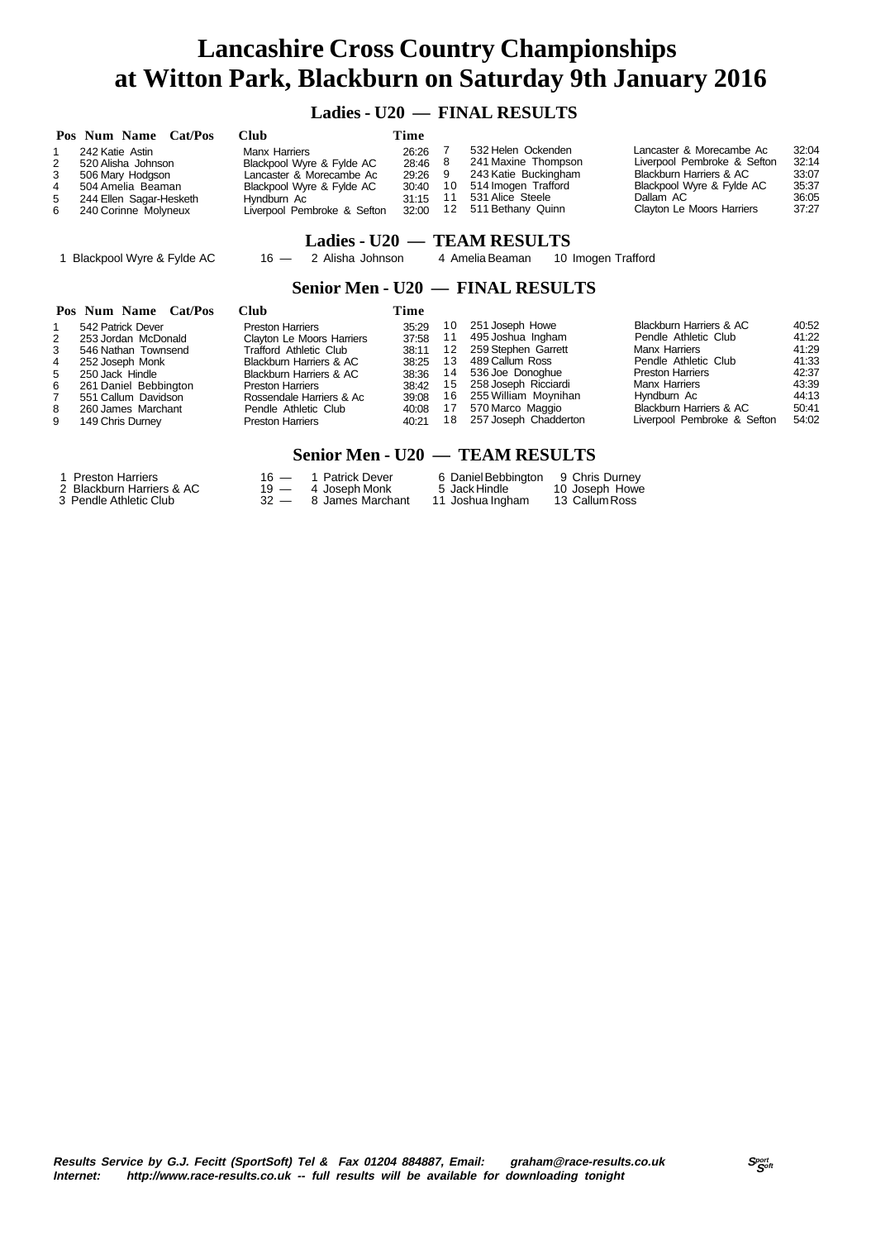### **Ladies - U20 — FINAL RESULTS**

|   | Pos Num Name Cat/Pos    | Club                        | Time  |    |                      |                             |       |
|---|-------------------------|-----------------------------|-------|----|----------------------|-----------------------------|-------|
|   | 242 Katie Astin         | Manx Harriers               | 26:26 |    | 532 Helen Ockenden   | Lancaster & Morecambe Ac    | 32:04 |
| 2 | 520 Alisha Johnson      | Blackpool Wyre & Fylde AC   | 28:46 |    | 241 Maxine Thompson  | Liverpool Pembroke & Sefton | 32:14 |
| 3 | 506 Mary Hodgson        | Lancaster & Morecambe Ac    | 29:26 |    | 243 Katie Buckingham | Blackburn Harriers & AC     | 33:07 |
| 4 | 504 Amelia Beaman       | Blackpool Wyre & Fylde AC   | 30:40 | 10 | 514 Imogen Trafford  | Blackpool Wyre & Fylde AC   | 35:37 |
| 5 | 244 Ellen Sagar-Hesketh | Hvndburn Ac                 | 31:15 |    | 531 Alice Steele     | Dallam AC                   | 36:05 |
| 6 | 240 Corinne Molyneux    | Liverpool Pembroke & Sefton | 32:00 | 12 | 511 Bethany Quinn    | Clayton Le Moors Harriers   | 37:27 |

### **Ladies - U20 — TEAM RESULTS**

1 Blackpool Wyre & Fylde AC 16 — 2 Alisha Johnson 4 Amelia Beaman 10 Imogen Trafford

### **Senior Men - U20 — FINAL RESULTS**

|   | Pos Num Name Cat/Pos  | Club                             | Time  |    |                       |                             |       |
|---|-----------------------|----------------------------------|-------|----|-----------------------|-----------------------------|-------|
|   | 542 Patrick Dever     | <b>Preston Harriers</b>          | 35:29 | 10 | 251 Joseph Howe       | Blackburn Harriers & AC     | 40:52 |
| 2 | 253 Jordan McDonald   | <b>Clayton Le Moors Harriers</b> | 37:58 |    | 495 Joshua Ingham     | Pendle Athletic Club        | 41:22 |
| 3 | 546 Nathan Townsend   | Trafford Athletic Club           | 38:11 | 12 | 259 Stephen Garrett   | <b>Manx Harriers</b>        | 41:29 |
| 4 | 252 Joseph Monk       | Blackburn Harriers & AC          | 38:25 | 13 | 489 Callum Ross       | Pendle Athletic Club        | 41:33 |
| 5 | 250 Jack Hindle       | Blackburn Harriers & AC          | 38:36 | 14 | 536 Joe Donoghue      | <b>Preston Harriers</b>     | 42:37 |
| 6 | 261 Daniel Bebbington | <b>Preston Harriers</b>          | 38:42 | 15 | 258 Joseph Ricciardi  | <b>Manx Harriers</b>        | 43:39 |
|   | 551 Callum Davidson   | Rossendale Harriers & Ac         | 39:08 | 16 | 255 William Moynihan  | Hyndburn Ac                 | 44:13 |
| 8 | 260 James Marchant    | Pendle Athletic Club             | 40:08 |    | 570 Marco Maggio      | Blackburn Harriers & AC     | 50:41 |
| 9 | 149 Chris Durney      | <b>Preston Harriers</b>          | 40:21 | 18 | 257 Joseph Chadderton | Liverpool Pembroke & Sefton | 54:02 |

#### **Senior Men - U20 — TEAM RESULTS**

| 1 Preston Harriers        | 16 — 1 Patrick Dever  | 6 Daniel Bebbington 9 Chris Durney |                |
|---------------------------|-----------------------|------------------------------------|----------------|
| 2 Blackburn Harriers & AC | $19 - 4$ Joseph Monk  | 5 Jack Hindle                      | 10 Joseph Howe |
| 3 Pendle Athletic Club    | 32 — 8 James Marchant | 11 Joshua Ingham                   | 13 Callum Ross |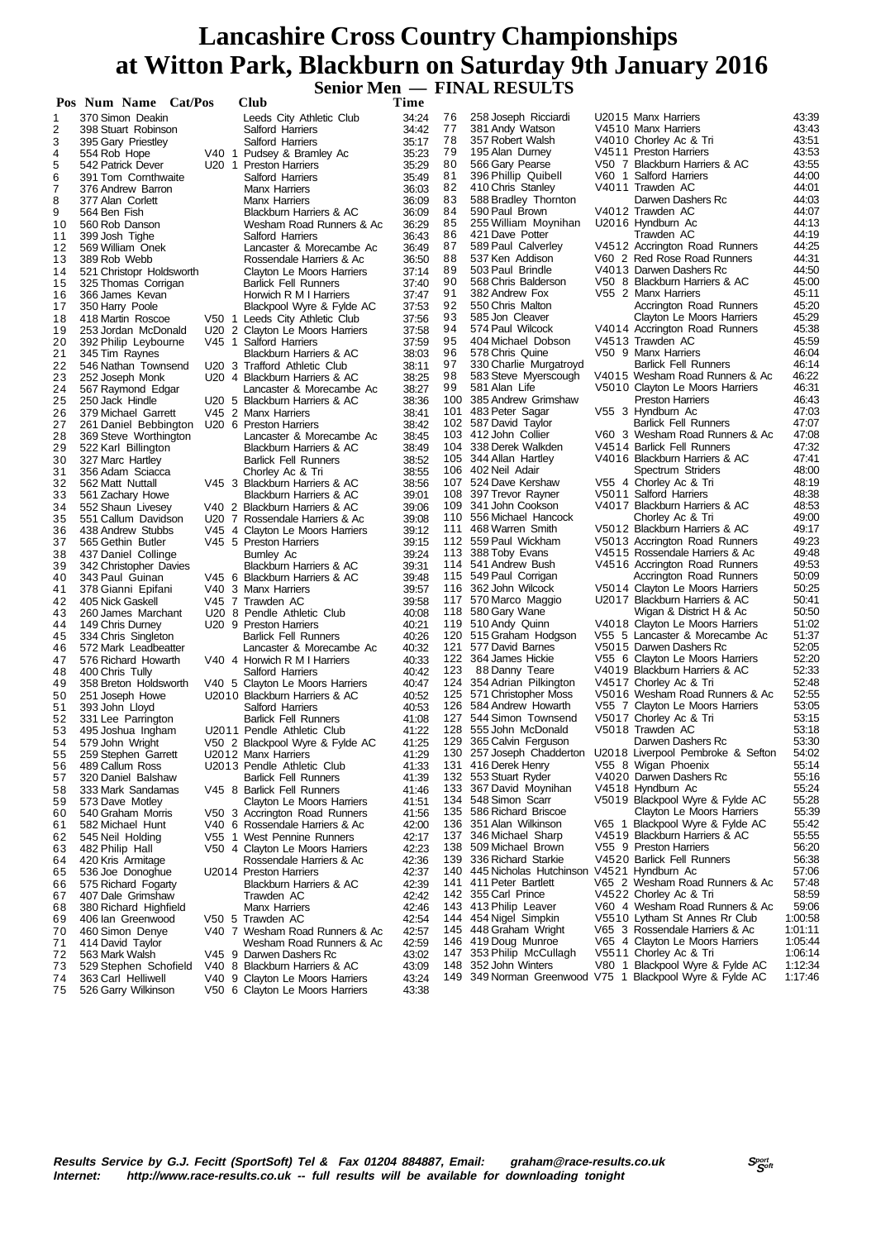**Senior Men — FINAL RESULTS**

|          | Pos Num Name Cat/Pos                    | Club                                                      | Time           |            |                                                                  |                                                             |                |
|----------|-----------------------------------------|-----------------------------------------------------------|----------------|------------|------------------------------------------------------------------|-------------------------------------------------------------|----------------|
| 1        | 370 Simon Deakin                        | Leeds City Athletic Club                                  | 34:24          | 76         | 258 Joseph Ricciardi                                             | U2015 Manx Harriers                                         | 43:39          |
| 2        | 398 Stuart Robinson                     | Salford Harriers                                          | 34:42          | 77         | 381 Andy Watson                                                  | V4510 Manx Harriers                                         | 43:43          |
| 3        | 395 Gary Priestley                      | Salford Harriers                                          | 35:17          | 78         | 357 Robert Walsh                                                 | V4010 Chorley Ac & Tri                                      | 43:51          |
| 4        | 554 Rob Hope                            | V40 1 Pudsey & Bramley Ac                                 | 35:23          | 79         | 195 Alan Durney                                                  | V4511 Preston Harriers                                      | 43:53          |
| 5        | 542 Patrick Dever                       | U20 1 Preston Harriers                                    | 35:29          | 80         | 566 Gary Pearse                                                  | V50 7 Blackburn Harriers & AC                               | 43:55          |
| 6        | 391 Tom Cornthwaite                     | Salford Harriers                                          | 35:49          | 81<br>82   | 396 Phillip Quibell<br>410 Chris Stanley                         | V60 1 Salford Harriers<br>V4011 Trawden AC                  | 44:00<br>44:01 |
| 7        | 376 Andrew Barron<br>377 Alan Corlett   | <b>Manx Harriers</b>                                      | 36:03          | 83         | 588 Bradley Thornton                                             | Darwen Dashers Rc                                           | 44:03          |
| 8<br>9   | 564 Ben Fish                            | <b>Manx Harriers</b><br>Blackburn Harriers & AC           | 36:09<br>36:09 | 84         | 590 Paul Brown                                                   | V4012 Trawden AC                                            | 44:07          |
| 10       | 560 Rob Danson                          | Wesham Road Runners & Ac                                  | 36:29          | 85         | 255 William Moynihan                                             | U2016 Hyndburn Ac                                           | 44:13          |
| 11       | 399 Josh Tighe                          | Salford Harriers                                          | 36:43          | 86         | 421 Dave Potter                                                  | Trawden AC                                                  | 44:19          |
| 12       | 569 William Onek                        | Lancaster & Morecambe Ac                                  | 36:49          | 87         | 589 Paul Calverley                                               | V4512 Accrington Road Runners                               | 44:25          |
| 13       | 389 Rob Webb                            | Rossendale Harriers & Ac                                  | 36:50          | 88         | 537 Ken Addison                                                  | V60 2 Red Rose Road Runners                                 | 44:31          |
| 14       | 521 Christopr Holdsworth                | <b>Clayton Le Moors Harriers</b>                          | 37:14          | 89         | 503 Paul Brindle                                                 | V4013 Darwen Dashers Rc                                     | 44:50          |
| 15       | 325 Thomas Corrigan                     | <b>Barlick Fell Runners</b>                               | 37:40          | 90         | 568 Chris Balderson                                              | V50 8 Blackburn Harriers & AC                               | 45:00          |
| 16       | 366 James Kevan                         | Horwich R M I Harriers                                    | 37:47          | 91         | 382 Andrew Fox                                                   | V55 2 Manx Harriers                                         | 45:11          |
| 17       | 350 Harry Poole                         | Blackpool Wyre & Fylde AC                                 | 37:53          | 92         | 550 Chris Malton                                                 | Accrington Road Runners                                     | 45:20          |
| 18       | 418 Martin Roscoe                       | V50 1 Leeds City Athletic Club                            | 37:56          | 93<br>94   | 585 Jon Cleaver<br>574 Paul Wilcock                              | Clayton Le Moors Harriers<br>V4014 Accrington Road Runners  | 45:29<br>45:38 |
| 19<br>20 | 253 Jordan McDonald                     | U20 2 Clayton Le Moors Harriers<br>V45 1 Salford Harriers | 37:58<br>37:59 | 95         | 404 Michael Dobson                                               | V4513 Trawden AC                                            | 45:59          |
| 21       | 392 Philip Leybourne<br>345 Tim Raynes  | Blackburn Harriers & AC                                   | 38:03          | 96         | 578 Chris Quine                                                  | V50 9 Manx Harriers                                         | 46:04          |
| 22       | 546 Nathan Townsend                     | U20 3 Trafford Athletic Club                              | 38:11          | 97         | 330 Charlie Murgatroyd                                           | <b>Barlick Fell Runners</b>                                 | 46:14          |
| 23       | 252 Joseph Monk                         | U20 4 Blackburn Harriers & AC                             | 38:25          | 98         | 583 Steve Myerscough                                             | V4015 Wesham Road Runners & Ac                              | 46:22          |
| 24       | 567 Raymond Edgar                       | Lancaster & Morecambe Ac                                  | 38:27          | 99         | 581 Alan Life                                                    | V5010 Clayton Le Moors Harriers                             | 46:31          |
| 25       | 250 Jack Hindle                         | U20 5 Blackburn Harriers & AC                             | 38:36          | 100        | 385 Andrew Grimshaw                                              | <b>Preston Harriers</b>                                     | 46:43          |
| 26       | 379 Michael Garrett                     | V45 2 Manx Harriers                                       | 38:41          | 101        | 483 Peter Sagar                                                  | V55 3 Hyndburn Ac                                           | 47:03          |
| 27       | 261 Daniel Bebbington                   | U20 6 Preston Harriers                                    | 38:42          |            | 102 587 David Taylor                                             | <b>Barlick Fell Runners</b>                                 | 47:07          |
| 28       | 369 Steve Worthington                   | Lancaster & Morecambe Ac                                  | 38:45          |            | 103 412 John Collier                                             | V60 3 Wesham Road Runners & Ac                              | 47:08          |
| 29       | 522 Karl Billington                     | Blackburn Harriers & AC                                   | 38:49          |            | 104 338 Derek Walkden                                            | V4514 Barlick Fell Runners                                  | 47:32          |
| 30       | 327 Marc Hartley                        | <b>Barlick Fell Runners</b>                               | 38:52          |            | 105 344 Allan Hartley<br>106 402 Neil Adair                      | V4016 Blackburn Harriers & AC<br>Spectrum Striders          | 47:41<br>48:00 |
| 31<br>32 | 356 Adam Sciacca<br>562 Matt Nuttall    | Chorley Ac & Tri<br>V45 3 Blackburn Harriers & AC         | 38:55<br>38:56 |            | 107 524 Dave Kershaw                                             | V55 4 Chorley Ac & Tri                                      | 48:19          |
| 33       | 561 Zachary Howe                        | Blackburn Harriers & AC                                   | 39:01          |            | 108 397 Trevor Rayner                                            | V5011 Salford Harriers                                      | 48:38          |
| 34       | 552 Shaun Livesey                       | V40 2 Blackburn Harriers & AC                             | 39:06          |            | 109 341 John Cookson                                             | V4017 Blackburn Harriers & AC                               | 48:53          |
| 35       | 551 Callum Davidson                     | U20 7 Rossendale Harriers & Ac                            | 39:08          | 110        | 556 Michael Hancock                                              | Chorley Ac & Tri                                            | 49:00          |
| 36       | 438 Andrew Stubbs                       | V45 4 Clayton Le Moors Harriers                           | 39:12          | 111        | 468 Warren Smith                                                 | V5012 Blackburn Harriers & AC                               | 49:17          |
| 37       | 565 Gethin Butler                       | V45 5 Preston Harriers                                    | 39:15          |            | 112 559 Paul Wickham                                             | V5013 Accrington Road Runners                               | 49:23          |
| 38       | 437 Daniel Collinge                     | Burnley Ac                                                | 39:24          |            | 113 388 Toby Evans                                               | V4515 Rossendale Harriers & Ac                              | 49:48          |
| 39       | 342 Christopher Davies                  | Blackburn Harriers & AC                                   | 39:31          |            | 114 541 Andrew Bush                                              | V4516 Accrington Road Runners                               | 49:53          |
| 40       | 343 Paul Guinan                         | V45 6 Blackburn Harriers & AC                             | 39:48          |            | 115 549 Paul Corrigan                                            | Accrington Road Runners                                     | 50:09          |
| 41       | 378 Gianni Epifani                      | V40 3 Manx Harriers                                       | 39:57          | 116        | 362 John Wilcock                                                 | V5014 Clayton Le Moors Harriers                             | 50:25<br>50:41 |
| 42<br>43 | 405 Nick Gaskell                        | V45 7 Trawden AC<br>U20 8 Pendle Athletic Club            | 39:58<br>40:08 | 117<br>118 | 570 Marco Maggio<br>580 Gary Wane                                | U2017 Blackburn Harriers & AC<br>Wigan & District H & Ac    | 50:50          |
| 44       | 260 James Marchant<br>149 Chris Durney  | U20 9 Preston Harriers                                    | 40:21          | 119        | 510 Andy Quinn                                                   | V4018 Clayton Le Moors Harriers                             | 51:02          |
| 45       | 334 Chris Singleton                     | <b>Barlick Fell Runners</b>                               | 40:26          |            | 120 515 Graham Hodgson                                           | V55 5 Lancaster & Morecambe Ac                              | 51:37          |
| 46       | 572 Mark Leadbeatter                    | Lancaster & Morecambe Ac                                  | 40:32          |            | 121 577 David Barnes                                             | V5015 Darwen Dashers Rc                                     | 52:05          |
| 47       | 576 Richard Howarth                     | V40 4 Horwich R M I Harriers                              | 40:33          |            | 122 364 James Hickie                                             | V55 6 Clayton Le Moors Harriers                             | 52:20          |
| 48       | 400 Chris Tully                         | Salford Harriers                                          | 40:42          | 123        | 88 Danny Teare                                                   | V4019 Blackburn Harriers & AC                               | 52:33          |
| 49       | 358 Breton Holdsworth                   | V40 5 Clayton Le Moors Harriers                           | 40:47          | 124        | 354 Adrian Pilkington                                            | V4517 Chorley Ac & Tri                                      | 52:48          |
| 50       | 251 Joseph Howe                         | U2010 Blackburn Harriers & AC                             | 40:52          | 125        | 571 Christopher Moss                                             | V5016 Wesham Road Runners & Ac                              | 52:55          |
| 51       | 393 John Lloyd                          | Salford Harriers                                          | 40:53          | 126        | 584 Andrew Howarth                                               | V55 7 Clayton Le Moors Harriers                             | 53:05          |
| 52       | 331 Lee Parrington                      | <b>Barlick Fell Runners</b>                               | 41:08          | 128        | 127 544 Simon Townsend<br>555 John McDonald                      | V5017 Chorley Ac & Tri<br>V5018 Trawden AC                  | 53:15<br>53:18 |
| 53<br>54 | 495 Joshua Ingham<br>579 John Wright    | U2011 Pendle Athletic Club                                | 41:22<br>41:25 | 129        | 365 Calvin Ferguson                                              | Darwen Dashers Rc                                           | 53:30          |
| 55       | 259 Stephen Garrett                     | V50 2 Blackpool Wyre & Fylde AC<br>U2012 Manx Harriers    | 41:29          |            |                                                                  | 130 257 Joseph Chadderton U2018 Liverpool Pembroke & Sefton | 54:02          |
| 56       | 489 Callum Ross                         | U2013 Pendle Athletic Club                                | 41:33          |            | 131 416 Derek Henry                                              | V55 8 Wigan Phoenix                                         | 55:14          |
| 57       | 320 Daniel Balshaw                      | <b>Barlick Fell Runners</b>                               | 41:39          | 132        | 553 Stuart Ryder                                                 | V4020 Darwen Dashers Rc                                     | 55:16          |
| 58       | 333 Mark Sandamas                       | V45 8 Barlick Fell Runners                                | 41:46          | 133        | 367 David Moynihan                                               | V4518 Hyndburn Ac                                           | 55:24          |
| 59       | 573 Dave Motley                         | Clayton Le Moors Harriers                                 | 41:51          | 134        | 548 Simon Scarr                                                  | V5019 Blackpool Wyre & Fylde AC                             | 55:28          |
| 60       | 540 Graham Morris                       | V50 3 Accrington Road Runners                             | 41:56          | 135        | 586 Richard Briscoe                                              | Clayton Le Moors Harriers                                   | 55:39          |
| 61       | 582 Michael Hunt                        | V40 6 Rossendale Harriers & Ac                            | 42:00          | 136        | 351 Alan Wilkinson                                               | V65 1 Blackpool Wyre & Fylde AC                             | 55:42          |
| 62       | 545 Neil Holding                        | V55 1 West Pennine Runners                                | 42:17          | 137        | 346 Michael Sharp                                                | V4519 Blackburn Harriers & AC                               | 55:55          |
| 63       | 482 Philip Hall                         | V50 4 Clayton Le Moors Harriers                           | 42:23          | 138        | 509 Michael Brown                                                | V55 9 Preston Harriers                                      | 56:20          |
| 64       | 420 Kris Armitage                       | Rossendale Harriers & Ac                                  | 42:36          | 139<br>140 | 336 Richard Starkie<br>445 Nicholas Hutchinson V4521 Hyndburn Ac | V4520 Barlick Fell Runners                                  | 56:38<br>57:06 |
| 65       | 536 Joe Donoghue<br>575 Richard Fogarty | U2014 Preston Harriers<br>Blackburn Harriers & AC         | 42:37<br>42:39 | 141        | 411 Peter Bartlett                                               | V65 2 Wesham Road Runners & Ac                              | 57:48          |
| 66<br>67 | 407 Dale Grimshaw                       | Trawden AC                                                | 42:42          | 142        | 355 Carl Prince                                                  | V4522 Chorley Ac & Tri                                      | 58:59          |
| 68       | 380 Richard Highfield                   | <b>Manx Harriers</b>                                      | 42:46          | 143        | 413 Philip Leaver                                                | V60 4 Wesham Road Runners & Ac                              | 59:06          |
| 69       | 406 Ian Greenwood                       | V50 5 Trawden AC                                          | 42:54          | 144        | 454 Nigel Simpkin                                                | V5510 Lytham St Annes Rr Club                               | 1:00:58        |
| 70       | 460 Simon Denye                         | V40 7 Wesham Road Runners & Ac                            | 42:57          | 145        | 448 Graham Wright                                                | V65 3 Rossendale Harriers & Ac                              | 1:01:11        |
| 71       | 414 David Taylor                        | Wesham Road Runners & Ac                                  | 42:59          | 146        | 419 Doug Munroe                                                  | V65 4 Clayton Le Moors Harriers                             | 1:05:44        |
| 72       | 563 Mark Walsh                          | V45 9 Darwen Dashers Rc                                   | 43:02          | 147        | 353 Philip McCullagh                                             | V5511 Chorley Ac & Tri                                      | 1:06:14        |
| 73       | 529 Stephen Schofield                   | V40 8 Blackburn Harriers & AC                             | 43:09          | 148        | 352 John Winters                                                 | V80 1 Blackpool Wyre & Fylde AC                             | 1:12:34        |
| 74       | 363 Carl Helliwell                      | V40 9 Clayton Le Moors Harriers                           | 43:24          |            |                                                                  | 149 349 Norman Greenwood V75 1 Blackpool Wyre & Fylde AC    | 1:17:46        |
| 75       | 526 Garry Wilkinson                     | V50 6 Clayton Le Moors Harriers                           | 43:38          |            |                                                                  |                                                             |                |